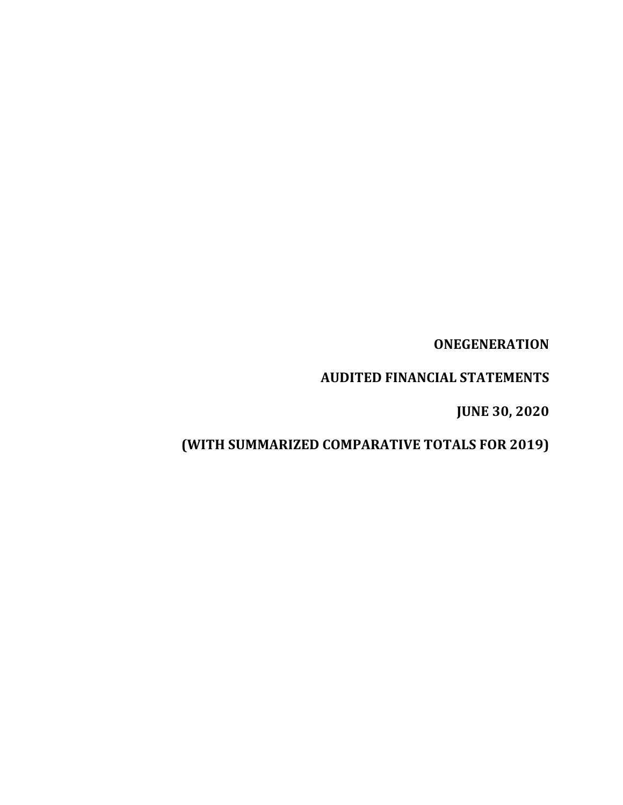**ONEGENERATION**

**AUDITED FINANCIAL STATEMENTS**

**JUNE 30, 2020**

**(WITH SUMMARIZED COMPARATIVE TOTALS FOR 2019)**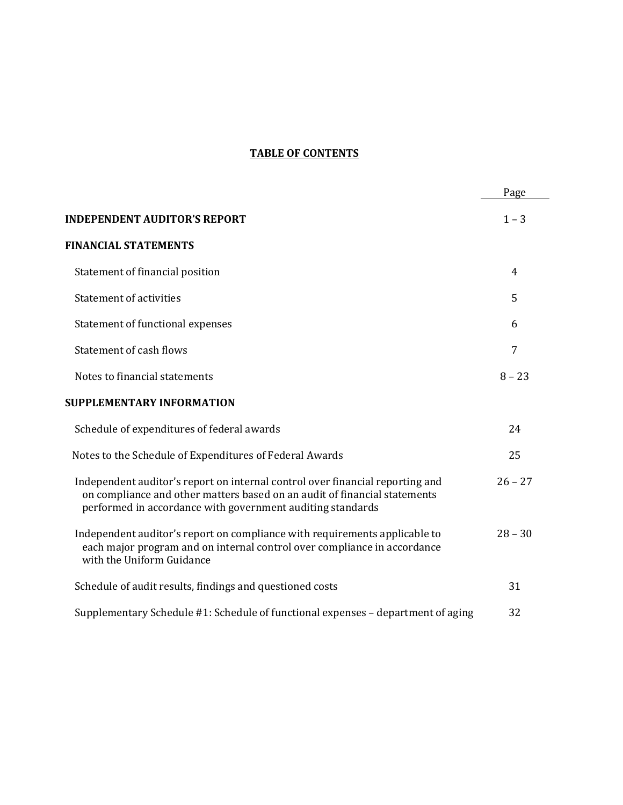# **TABLE OF CONTENTS**

|                                                                                                                                                                                                                          | Page      |
|--------------------------------------------------------------------------------------------------------------------------------------------------------------------------------------------------------------------------|-----------|
| <b>INDEPENDENT AUDITOR'S REPORT</b>                                                                                                                                                                                      | $1 - 3$   |
| <b>FINANCIAL STATEMENTS</b>                                                                                                                                                                                              |           |
| Statement of financial position                                                                                                                                                                                          | 4         |
| <b>Statement of activities</b>                                                                                                                                                                                           | 5         |
| Statement of functional expenses                                                                                                                                                                                         | 6         |
| Statement of cash flows                                                                                                                                                                                                  | 7         |
| Notes to financial statements                                                                                                                                                                                            | $8 - 23$  |
| SUPPLEMENTARY INFORMATION                                                                                                                                                                                                |           |
| Schedule of expenditures of federal awards                                                                                                                                                                               | 24        |
| Notes to the Schedule of Expenditures of Federal Awards                                                                                                                                                                  | 25        |
| Independent auditor's report on internal control over financial reporting and<br>on compliance and other matters based on an audit of financial statements<br>performed in accordance with government auditing standards | $26 - 27$ |
| Independent auditor's report on compliance with requirements applicable to<br>each major program and on internal control over compliance in accordance<br>with the Uniform Guidance                                      | $28 - 30$ |
| Schedule of audit results, findings and questioned costs                                                                                                                                                                 | 31        |
| Supplementary Schedule #1: Schedule of functional expenses - department of aging                                                                                                                                         | 32        |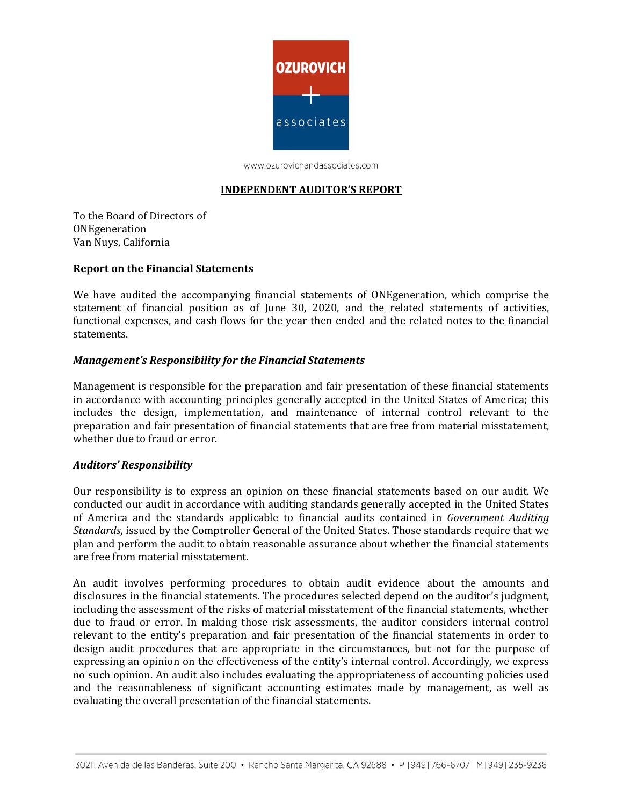

www.ozurovichandassociates.com

## **INDEPENDENT AUDITOR'S REPORT**

To the Board of Directors of **ONEgeneration** Van Nuys, California

#### **Report on the Financial Statements**

We have audited the accompanying financial statements of ONEgeneration, which comprise the statement of financial position as of June 30, 2020, and the related statements of activities, functional expenses, and cash flows for the year then ended and the related notes to the financial statements.

## *Management's Responsibility for the Financial Statements*

Management is responsible for the preparation and fair presentation of these financial statements in accordance with accounting principles generally accepted in the United States of America; this includes the design, implementation, and maintenance of internal control relevant to the preparation and fair presentation of financial statements that are free from material misstatement, whether due to fraud or error.

#### *Auditors' Responsibility*

Our responsibility is to express an opinion on these financial statements based on our audit. We conducted our audit in accordance with auditing standards generally accepted in the United States of America and the standards applicable to financial audits contained in *Government Auditing Standards*, issued by the Comptroller General of the United States. Those standards require that we plan and perform the audit to obtain reasonable assurance about whether the financial statements are free from material misstatement.

An audit involves performing procedures to obtain audit evidence about the amounts and disclosures in the financial statements. The procedures selected depend on the auditor's judgment, including the assessment of the risks of material misstatement of the financial statements, whether due to fraud or error. In making those risk assessments, the auditor considers internal control relevant to the entity's preparation and fair presentation of the financial statements in order to design audit procedures that are appropriate in the circumstances, but not for the purpose of expressing an opinion on the effectiveness of the entity's internal control. Accordingly, we express no such opinion. An audit also includes evaluating the appropriateness of accounting policies used and the reasonableness of significant accounting estimates made by management, as well as evaluating the overall presentation of the financial statements.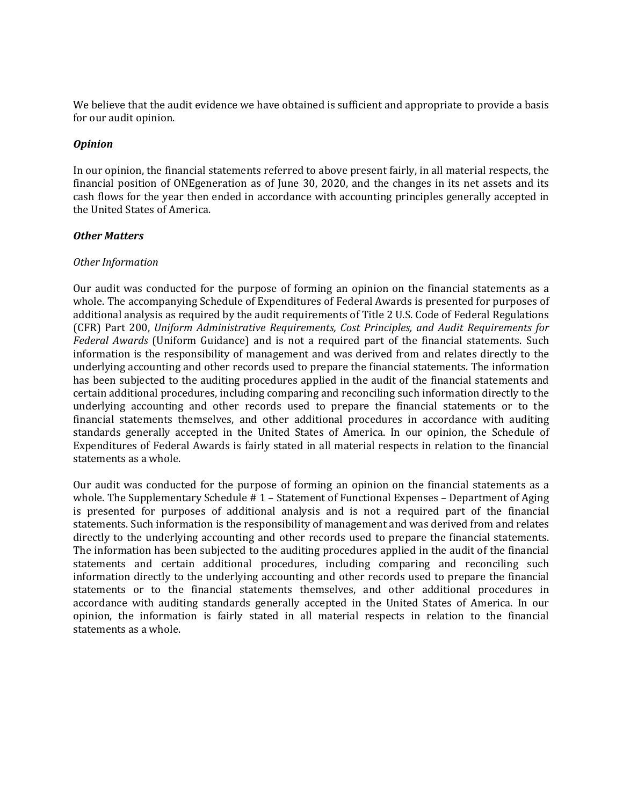We believe that the audit evidence we have obtained is sufficient and appropriate to provide a basis for our audit opinion.

#### *Opinion*

In our opinion, the financial statements referred to above present fairly, in all material respects, the financial position of ONEgeneration as of June 30, 2020, and the changes in its net assets and its cash flows for the year then ended in accordance with accounting principles generally accepted in the United States of America.

#### *Other Matters*

#### *Other Information*

Our audit was conducted for the purpose of forming an opinion on the financial statements as a whole. The accompanying Schedule of Expenditures of Federal Awards is presented for purposes of additional analysis as required by the audit requirements of Title 2 U.S. Code of Federal Regulations (CFR) Part 200, *Uniform Administrative Requirements, Cost Principles, and Audit Requirements for Federal Awards* (Uniform Guidance) and is not a required part of the financial statements. Such information is the responsibility of management and was derived from and relates directly to the underlying accounting and other records used to prepare the financial statements. The information has been subjected to the auditing procedures applied in the audit of the financial statements and certain additional procedures, including comparing and reconciling such information directly to the underlying accounting and other records used to prepare the financial statements or to the financial statements themselves, and other additional procedures in accordance with auditing standards generally accepted in the United States of America. In our opinion, the Schedule of Expenditures of Federal Awards is fairly stated in all material respects in relation to the financial statements as a whole.

Our audit was conducted for the purpose of forming an opinion on the financial statements as a whole. The Supplementary Schedule  $# 1 -$  Statement of Functional Expenses – Department of Aging is presented for purposes of additional analysis and is not a required part of the financial statements. Such information is the responsibility of management and was derived from and relates directly to the underlying accounting and other records used to prepare the financial statements. The information has been subjected to the auditing procedures applied in the audit of the financial statements and certain additional procedures, including comparing and reconciling such information directly to the underlying accounting and other records used to prepare the financial statements or to the financial statements themselves, and other additional procedures in accordance with auditing standards generally accepted in the United States of America. In our opinion, the information is fairly stated in all material respects in relation to the financial statements as a whole.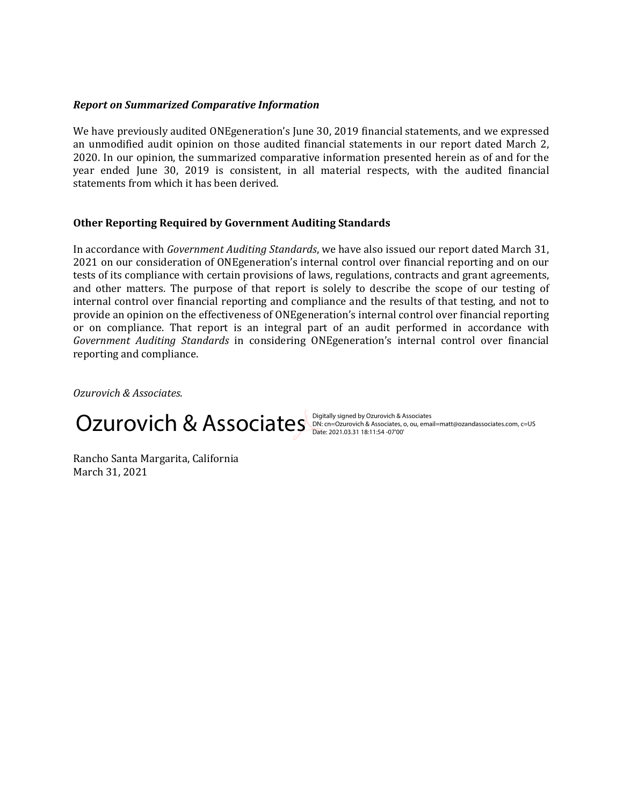#### *Report on Summarized Comparative Information*

We have previously audited ONE generation's June 30, 2019 financial statements, and we expressed an unmodified audit opinion on those audited financial statements in our report dated March 2, 2020. In our opinion, the summarized comparative information presented herein as of and for the year ended June 30, 2019 is consistent, in all material respects, with the audited financial statements from which it has been derived.

#### **Other Reporting Required by Government Auditing Standards**

In accordance with *Government Auditing Standards*, we have also issued our report dated March 31, 2021 on our consideration of ONEgeneration's internal control over financial reporting and on our tests of its compliance with certain provisions of laws, regulations, contracts and grant agreements, and other matters. The purpose of that report is solely to describe the scope of our testing of internal control over financial reporting and compliance and the results of that testing, and not to provide an opinion on the effectiveness of ONEgeneration's internal control over financial reporting or on compliance. That report is an integral part of an audit performed in accordance with *Government Auditing Standards* in considering ONEgeneration's internal control over financial reporting and compliance.

*Ozurovich & Associates.*

# $O$ zurovich & Associates Digitally signed by Ozurovich & Associates (a, ou, email  $O$  and  $O$  and  $O$  and  $O$  and  $O$  and  $O$  and  $O$  and  $O$  and  $O$  and  $O$  and  $O$  and  $O$  and  $O$  and  $O$  and  $O$  and  $O$  and  $O$  and  $O$

DN: cn=Ozurovich & Associates, o, ou, email=matt@ozandassociates.com, c=US Date: 2021.03.31 18:11:54 -07'00'

Rancho Santa Margarita, California March 31, 2021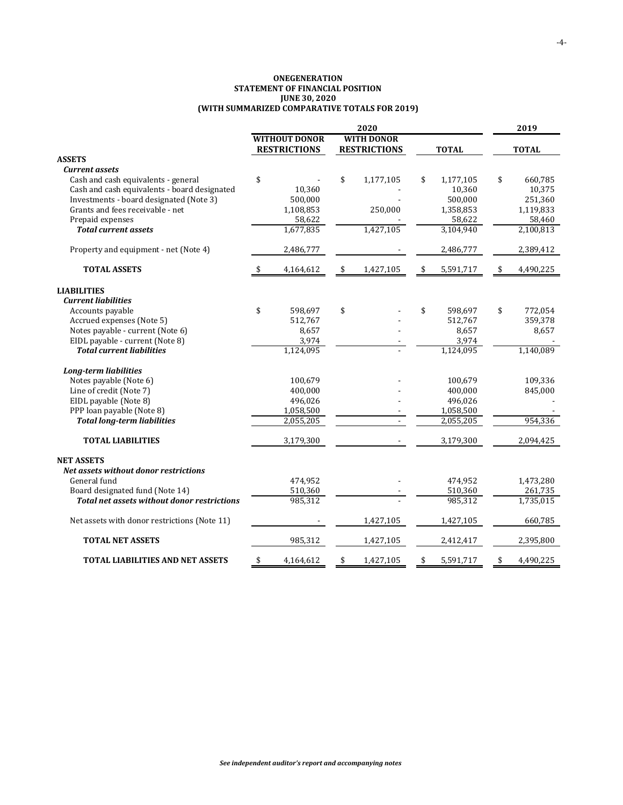#### **ONEGENERATION STATEMENT OF FINANCIAL POSITION JUNE 30, 2020 (WITH SUMMARIZED COMPARATIVE TOTALS FOR 2019)**

|                                                    | 2020                 |                     |    |                     |            | 2019         |    |              |
|----------------------------------------------------|----------------------|---------------------|----|---------------------|------------|--------------|----|--------------|
|                                                    | <b>WITHOUT DONOR</b> |                     |    | <b>WITH DONOR</b>   |            |              |    |              |
|                                                    |                      | <b>RESTRICTIONS</b> |    | <b>RESTRICTIONS</b> |            | <b>TOTAL</b> |    | <b>TOTAL</b> |
| <b>ASSETS</b>                                      |                      |                     |    |                     |            |              |    |              |
| Current assets                                     |                      |                     |    |                     |            |              |    |              |
| Cash and cash equivalents - general                | \$                   |                     | \$ | 1,177,105           | \$         | 1,177,105    | \$ | 660,785      |
| Cash and cash equivalents - board designated       |                      | 10,360              |    |                     |            | 10,360       |    | 10,375       |
| Investments - board designated (Note 3)            |                      | 500,000             |    |                     |            | 500,000      |    | 251,360      |
| Grants and fees receivable - net                   |                      | 1,108,853           |    | 250,000             |            | 1,358,853    |    | 1,119,833    |
| Prepaid expenses                                   |                      | 58,622              |    |                     |            | 58,622       |    | 58,460       |
| <b>Total current assets</b>                        |                      | 1,677,835           |    | 1,427,105           |            | 3,104,940    |    | 2,100,813    |
| Property and equipment - net (Note 4)              |                      | 2,486,777           |    |                     |            | 2,486,777    |    | 2,389,412    |
| <b>TOTAL ASSETS</b>                                | \$                   | 4,164,612           | \$ | 1,427,105           | $\sqrt{2}$ | 5,591,717    | \$ | 4,490,225    |
| <b>LIABILITIES</b>                                 |                      |                     |    |                     |            |              |    |              |
| <b>Current liabilities</b>                         |                      |                     |    |                     |            |              |    |              |
| Accounts payable                                   | \$                   | 598.697             | \$ |                     | \$         | 598.697      | \$ | 772.054      |
| Accrued expenses (Note 5)                          |                      | 512,767             |    |                     |            | 512,767      |    | 359,378      |
| Notes payable - current (Note 6)                   |                      | 8,657               |    |                     |            | 8,657        |    | 8,657        |
| EIDL payable - current (Note 8)                    |                      | 3,974               |    |                     |            | 3,974        |    |              |
| <b>Total current liabilities</b>                   |                      | 1,124,095           |    |                     |            | 1,124,095    |    | 1,140,089    |
| Long-term liabilities                              |                      |                     |    |                     |            |              |    |              |
| Notes payable (Note 6)                             |                      | 100,679             |    |                     |            | 100,679      |    | 109,336      |
| Line of credit (Note 7)                            |                      | 400,000             |    |                     |            | 400,000      |    | 845,000      |
| EIDL payable (Note 8)                              |                      | 496,026             |    |                     |            | 496,026      |    |              |
| PPP loan payable (Note 8)                          |                      | 1,058,500           |    |                     |            | 1,058,500    |    |              |
| <b>Total long-term liabilities</b>                 |                      | 2,055,205           |    |                     |            | 2,055,205    |    | 954,336      |
| <b>TOTAL LIABILITIES</b>                           |                      | 3,179,300           |    |                     |            | 3,179,300    |    | 2,094,425    |
| <b>NET ASSETS</b>                                  |                      |                     |    |                     |            |              |    |              |
| Net assets without donor restrictions              |                      |                     |    |                     |            |              |    |              |
| General fund                                       |                      | 474,952             |    |                     |            | 474,952      |    | 1,473,280    |
| Board designated fund (Note 14)                    |                      | 510,360             |    |                     |            | 510,360      |    | 261,735      |
| <b>Total net assets without donor restrictions</b> |                      | 985,312             |    |                     |            | 985,312      |    | 1,735,015    |
| Net assets with donor restrictions (Note 11)       |                      |                     |    | 1,427,105           |            | 1,427,105    |    | 660,785      |
| <b>TOTAL NET ASSETS</b>                            |                      | 985,312             |    | 1,427,105           |            | 2,412,417    |    | 2,395,800    |
| <b>TOTAL LIABILITIES AND NET ASSETS</b>            | -\$                  | 4,164,612           | \$ | 1,427,105           | \$         | 5,591,717    | \$ | 4,490,225    |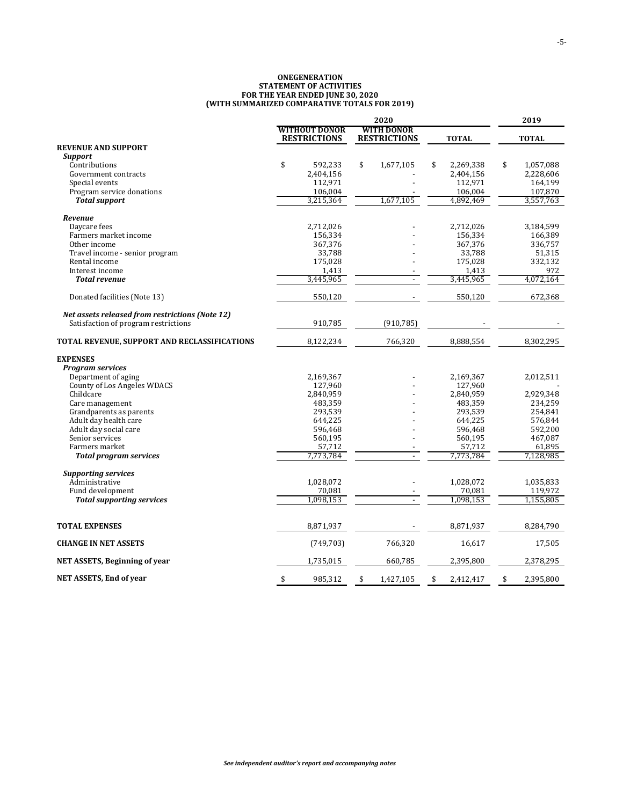#### **(WITH SUMMARIZED COMPARATIVE TOTALS FOR 2019) FOR THE YEAR ENDED JUNE 30, 2020 STATEMENT OF ACTIVITIES ONEGENERATION**

|                                                 |                      | 2019                |                 |                 |
|-------------------------------------------------|----------------------|---------------------|-----------------|-----------------|
|                                                 | <b>WITHOUT DONOR</b> | <b>WITH DONOR</b>   |                 |                 |
|                                                 | <b>RESTRICTIONS</b>  | <b>RESTRICTIONS</b> | <b>TOTAL</b>    | <b>TOTAL</b>    |
| <b>REVENUE AND SUPPORT</b>                      |                      |                     |                 |                 |
| <b>Support</b>                                  |                      |                     |                 |                 |
| Contributions                                   | \$<br>592,233        | \$<br>1,677,105     | \$<br>2,269,338 | \$<br>1,057,088 |
| Government contracts                            | 2,404,156            |                     | 2,404,156       | 2,228,606       |
| Special events                                  | 112,971              |                     | 112,971         | 164,199         |
| Program service donations                       | 106,004              |                     | 106,004         | 107,870         |
| <b>Total support</b>                            | 3,215,364            | 1,677,105           | 4,892,469       | 3,557,763       |
|                                                 |                      |                     |                 |                 |
| Revenue                                         |                      |                     |                 |                 |
| Daycare fees                                    | 2,712,026            |                     | 2,712,026       | 3,184,599       |
| Farmers market income                           | 156,334              |                     | 156,334         | 166,389         |
| Other income                                    | 367,376              |                     | 367,376         | 336,757         |
| Travel income - senior program                  | 33,788               |                     | 33,788          | 51,315          |
| Rental income                                   | 175,028              |                     | 175,028         | 332,132         |
| Interest income                                 | 1,413                |                     | 1,413           | 972             |
| <b>Total revenue</b>                            | 3,445,965            |                     | 3,445,965       | 4,072,164       |
|                                                 |                      |                     |                 |                 |
| Donated facilities (Note 13)                    | 550,120              |                     | 550,120         | 672,368         |
|                                                 |                      |                     |                 |                 |
| Net assets released from restrictions (Note 12) |                      |                     |                 |                 |
| Satisfaction of program restrictions            | 910,785              | (910, 785)          |                 |                 |
| TOTAL REVENUE, SUPPORT AND RECLASSIFICATIONS    | 8,122,234            | 766,320             | 8,888,554       | 8,302,295       |
|                                                 |                      |                     |                 |                 |
| <b>EXPENSES</b>                                 |                      |                     |                 |                 |
| <b>Program services</b>                         |                      |                     |                 |                 |
| Department of aging                             | 2,169,367            |                     | 2,169,367       | 2,012,511       |
| <b>County of Los Angeles WDACS</b>              | 127,960              |                     | 127,960         |                 |
| Childcare                                       | 2,840,959            |                     | 2,840,959       | 2,929,348       |
| Care management                                 | 483,359              |                     | 483,359         | 234,259         |
| Grandparents as parents                         | 293,539              |                     | 293,539         | 254,841         |
| Adult day health care                           | 644,225              |                     | 644,225         | 576,844         |
| Adult day social care                           | 596,468              |                     | 596,468         | 592,200         |
| Senior services                                 | 560,195              |                     | 560,195         | 467,087         |
| Farmers market                                  | 57,712               |                     | 57,712          | 61,895          |
| <b>Total program services</b>                   | 7,773,784            | $\mathbb{L}$        | 7,773,784       | 7,128,985       |
|                                                 |                      |                     |                 |                 |
| <b>Supporting services</b>                      |                      |                     |                 |                 |
| Administrative                                  | 1,028,072            |                     | 1,028,072       | 1,035,833       |
| Fund development                                | 70,081               |                     | 70,081          | 119,972         |
| <b>Total supporting services</b>                | 1,098,153            |                     | 1,098,153       | 1,155,805       |
|                                                 |                      |                     |                 |                 |
| <b>TOTAL EXPENSES</b>                           | 8,871,937            |                     | 8,871,937       | 8,284,790       |
|                                                 |                      |                     |                 |                 |
| <b>CHANGE IN NET ASSETS</b>                     | (749, 703)           | 766,320             | 16,617          | 17,505          |
| <b>NET ASSETS, Beginning of year</b>            | 1,735,015            | 660,785             | 2,395,800       | 2,378,295       |
| <b>NET ASSETS, End of year</b>                  | \$<br>985,312        | 1,427,105<br>\$     | 2,412,417<br>\$ | \$<br>2,395,800 |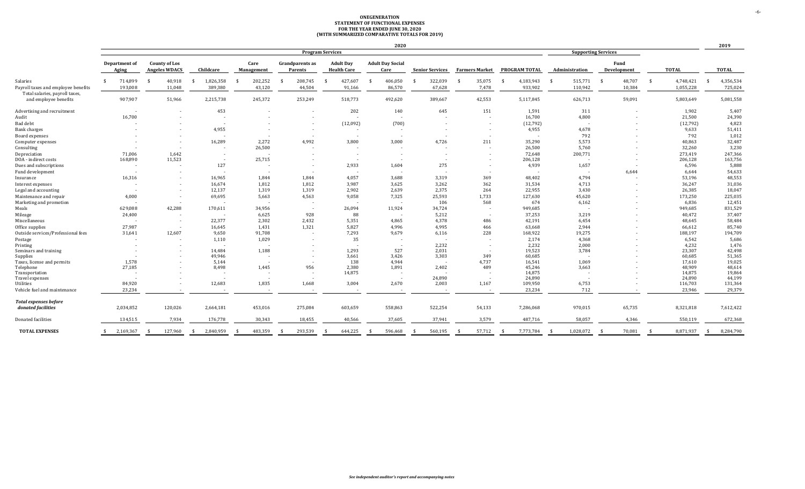#### **ONEGENERATION STATEMENT OF FUNCTIONAL EXPENSES FOR THE YEAR ENDED JUNE 30, 2020 (WITH SUMMARIZED COMPARATIVE TOTALS FOR 2019)**

|                                                                                   |                          |                                              |                      |                    |                                   |                                        | 2020                            |                          |                          |                             |                            |                     |                                              | 2019                       |
|-----------------------------------------------------------------------------------|--------------------------|----------------------------------------------|----------------------|--------------------|-----------------------------------|----------------------------------------|---------------------------------|--------------------------|--------------------------|-----------------------------|----------------------------|---------------------|----------------------------------------------|----------------------------|
|                                                                                   |                          |                                              |                      |                    |                                   | <b>Program Services</b>                |                                 |                          |                          |                             | <b>Supporting Services</b> |                     |                                              |                            |
|                                                                                   | Department of<br>Aging   | <b>County of Los</b><br><b>Angeles WDACS</b> | Childcare            | Care<br>Management | <b>Grandparents as</b><br>Parents | <b>Adult Day</b><br><b>Health Care</b> | <b>Adult Day Social</b><br>Care | <b>Senior Services</b>   | <b>Farmers Market</b>    | PROGRAM TOTAL               | Administration             | Fund<br>Development | <b>TOTAL</b>                                 | <b>TOTAL</b>               |
| Salaries<br>Payroll taxes and employee benefits<br>Total salaries, payroll taxes, | 714,899<br>-S<br>193,008 | 40,918<br>11,048                             | 1,826,358<br>389,380 | 202,252<br>43,120  | 208,745<br>44,504                 | 427,607<br>91,166                      | 406,050<br>86,570               | 322,039<br>-\$<br>67,628 | 35,075<br>7,478          | 4,183,943<br>-\$<br>933,902 | 515,771<br>- \$<br>110,942 | 48,707<br>10,384    | 4,748,421<br>$\mathbf{\hat{s}}$<br>1,055,228 | 4,356,534<br>\$<br>725,024 |
| and employee benefits                                                             | 907,907                  | 51,966                                       | 2,215,738            | 245,372            | 253,249                           | 518,773                                | 492,620                         | 389,667                  | 42,553                   | 5,117,845                   | 626,713                    | 59,091              | 5,803,649                                    | 5,081,558                  |
| Advertising and recruitment                                                       |                          |                                              | 453                  |                    |                                   | 202                                    | 140                             | 645                      | 151                      | 1,591                       | 311                        |                     | 1,902                                        | 5,407                      |
| Audit                                                                             | 16,700                   |                                              |                      |                    |                                   | $\sim$                                 | $\overline{\phantom{a}}$        |                          | $\overline{a}$           | 16,700                      | 4,800                      |                     | 21,500                                       | 24,390                     |
| Bad debt                                                                          |                          |                                              | $\sim$               |                    |                                   | (12,092)                               | (700)                           |                          |                          | (12, 792)                   |                            |                     | (12,792)                                     | 4,823                      |
| Bank charges                                                                      |                          |                                              | 4,955                |                    |                                   |                                        | $\overline{\phantom{a}}$        |                          | $\overline{\phantom{a}}$ | 4,955                       | 4,678                      |                     | 9,633                                        | 51,411                     |
| Board expenses                                                                    |                          |                                              | $\sim$               |                    |                                   |                                        | $\overline{\phantom{a}}$        |                          |                          |                             | 792                        |                     | 792                                          | 1,012                      |
| Computer expenses                                                                 |                          |                                              | 16,289               | 2,272              | 4,992                             | 3,800                                  | 3,000                           | 4,726                    | 211                      | 35,290                      | 5,573                      |                     | 40,863                                       | 32,487                     |
| Consulting                                                                        |                          |                                              |                      | 26,500             |                                   |                                        |                                 |                          |                          | 26,500                      | 5,760                      |                     | 32,260                                       | 3,230                      |
| Depreciation                                                                      | 71,006                   | 1,642                                        |                      |                    |                                   |                                        | $\sim$                          |                          |                          | 72.648                      | 200,771                    |                     | 273,419                                      | 247,366                    |
| DOA - indirect costs                                                              | 168,890                  | 11,523                                       | $\sim$               | 25,715             |                                   | $\overline{\phantom{a}}$               | $\overline{\phantom{a}}$        | $\overline{\phantom{a}}$ |                          | 206,128                     |                            |                     | 206,128                                      | 163,756                    |
| Dues and subscriptions                                                            | ٠.                       |                                              | 127                  | $\sim$             | $\sim$                            | 2,933                                  | 1,604                           | 275                      | $\overline{\phantom{a}}$ | 4,939                       | 1,657                      |                     | 6,596                                        | 5,888                      |
| Fund development                                                                  |                          |                                              |                      |                    |                                   |                                        |                                 |                          |                          |                             |                            | 6,644               | 6,644                                        | 54,633                     |
| Insurance                                                                         | 16,316                   |                                              | 16,965               | 1,844              | 1,844                             | 4,057                                  | 3,688                           | 3,319                    | 369                      | 48,402                      | 4,794                      |                     | 53,196                                       | 48,553                     |
| Interest expenses                                                                 |                          |                                              | 16,674               | 1,812              | 1,812                             | 3,987                                  | 3.625                           | 3,262                    | 362                      | 31,534                      | 4,713                      |                     | 36,247                                       | 31,036                     |
| Legal and accounting                                                              | . .                      | $\sim$                                       | 12,137               | 1,319              | 1,319                             | 2,902                                  | 2,639                           | 2,375                    | 264                      | 22,955                      | 3,430                      |                     | 26,385                                       | 18,047                     |
| Maintenance and repair                                                            | 4,000                    |                                              | 69,695               | 5,663              | 4,563                             | 9,058                                  | 7,325                           | 25,593                   | 1,733                    | 127,630                     | 45,620                     |                     | 173,250                                      | 225,035                    |
| Marketing and promotion                                                           |                          |                                              |                      |                    |                                   |                                        |                                 | 106                      | 568                      | 674                         | 6,162                      |                     | 6,836                                        | 12,451                     |
| Meals                                                                             | 629,088                  | 42,288                                       | 170,611              | 34,956             | $\sim$                            | 26,094                                 | 11,924                          | 34,724                   | $\overline{\phantom{a}}$ | 949,685                     |                            |                     | 949,685                                      | 831,529                    |
|                                                                                   | 24,400                   |                                              |                      | 6,625              | 928                               | 88                                     |                                 |                          |                          | 37,253                      | 3,219                      |                     |                                              | 37,407                     |
| Mileage                                                                           |                          |                                              | $\sim$               |                    |                                   |                                        |                                 | 5,212                    | $\overline{\phantom{a}}$ |                             |                            |                     | 40,472                                       |                            |
| Miscellaneous                                                                     |                          | $\sim$                                       | 22,377               | 2,302              | 2,432                             | 5,351                                  | 4,865                           | 4,378                    | 486                      | 42,191                      | 6,454                      |                     | 48,645                                       | 58,484                     |
| Office supplies                                                                   | 27,987                   | $\sim$                                       | 16,645               | 1,431              | 1,321                             | 5,827                                  | 4.996                           | 4,995                    | 466                      | 63,668                      | 2,944                      |                     | 66,612                                       | 85,740                     |
| Outside services/Professional fees                                                | 31,641                   | 12,607                                       | 9,650                | 91,708             | $\sim$                            | 7,293                                  | 9,679                           | 6,116                    | 228                      | 168,922                     | 19,275                     |                     | 188,197                                      | 194,709                    |
| Postage                                                                           | $\overline{\phantom{a}}$ |                                              | 1,110                | 1,029              | $\sim$                            | 35                                     | $\sim$                          |                          | $\sim$                   | 2,174                       | 4,368                      |                     | 6,542                                        | 5,686                      |
| Printing                                                                          |                          |                                              |                      |                    |                                   |                                        |                                 | 2,232                    | $\overline{\phantom{a}}$ | 2,232                       | 2,000                      |                     | 4,232                                        | 1,476                      |
| Seminars and training                                                             |                          |                                              | 14,484               | 1,188              |                                   | 1,293                                  | 527                             | 2,031                    | $\overline{\phantom{a}}$ | 19,523                      | 3,784                      |                     | 23,307                                       | 42,498                     |
| Supplies                                                                          |                          |                                              | 49,946               |                    | $\sim$                            | 3,661                                  | 3,426                           | 3,303                    | 349                      | 60,685                      |                            |                     | 60,685                                       | 51,365                     |
| Taxes, license and permits                                                        | 1,578<br>27,185          |                                              | 5,144                | 1,445              | 956                               | 138<br>2.380                           | 4,944<br>1.891                  | 2,402                    | 4,737                    | 16,541<br>45,246            | 1,069<br>3,663             |                     | 17,610<br>48,909                             | 19,025                     |
| Telephone                                                                         |                          |                                              | 8,498                |                    |                                   | 14,875                                 |                                 |                          | 489                      | 14,875                      |                            |                     | 14,875                                       | 48,614<br>19,864           |
| Transportation<br>Travel expenses                                                 |                          |                                              |                      |                    |                                   |                                        |                                 | 24,890                   | $\overline{\phantom{a}}$ | 24,890                      |                            |                     | 24,890                                       | 44,199                     |
| Utilities                                                                         | 84,920                   |                                              | 12,683               | 1,835              | 1,668                             | 3,004                                  | 2,670                           | 2,003                    | 1,167                    | 109,950                     | 6,753                      |                     | 116,703                                      | 131,364                    |
| Vehicle fuel and maintenance                                                      | 23,234                   |                                              |                      |                    |                                   |                                        |                                 |                          |                          | 23,234                      | 712                        |                     | 23,946                                       | 29,379                     |
| <b>Total expenses before</b>                                                      |                          |                                              |                      |                    |                                   |                                        |                                 |                          |                          |                             |                            |                     |                                              |                            |
| donated facilities                                                                | 2,034,852                | 120,026                                      | 2,664,181            | 453,016            | 275,084                           | 603,659                                | 558,863                         | 522,254                  | 54,133                   | 7,286,068                   | 970,015                    | 65,735              | 8,321,818                                    | 7,612,422                  |
| Donated facilities                                                                | 134,515                  | 7,934                                        | 176,778              | 30,343             | 18,455                            | 40,566                                 | 37,605                          | 37,941                   | 3,579                    | 487,716                     | 58,057                     | 4,346               | 550,119                                      | 672,368                    |

**TOTAL**

-6-

**EXPENSES** \$ 127,960 2,169,367 \$ 2,840,959 \$ 483,359 \$ 293,539 \$ 644,225 \$ 596,468 \$ 560,195 \$ 57,712 \$ 7,773,78 \$ 1,028,072 4 \$ 70,081 \$ 8,871,937 \$ 8,284,790 \$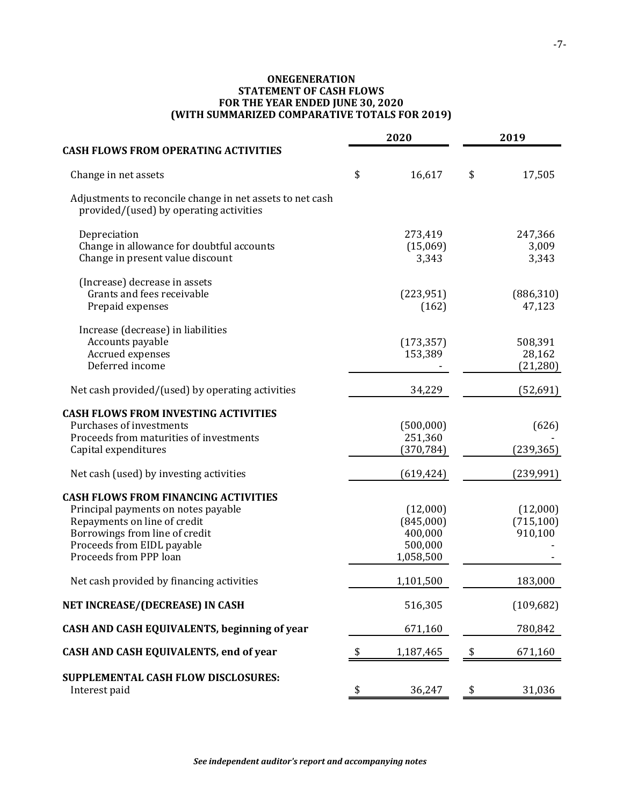#### **FOR THE YEAR ENDED JUNE 30, 2020 STATEMENT OF CASH FLOWS ONEGENERATION (WITH SUMMARIZED COMPARATIVE TOTALS FOR 2019)**

| <b>CASH FLOWS FROM OPERATING ACTIVITIES</b>                                                                                                                                                                  |    | 2020                                                     | 2019 |                                   |  |
|--------------------------------------------------------------------------------------------------------------------------------------------------------------------------------------------------------------|----|----------------------------------------------------------|------|-----------------------------------|--|
| Change in net assets                                                                                                                                                                                         | \$ | 16,617                                                   | \$   | 17,505                            |  |
| Adjustments to reconcile change in net assets to net cash<br>provided/(used) by operating activities                                                                                                         |    |                                                          |      |                                   |  |
| Depreciation<br>Change in allowance for doubtful accounts<br>Change in present value discount                                                                                                                |    | 273,419<br>(15,069)<br>3,343                             |      | 247,366<br>3,009<br>3,343         |  |
| (Increase) decrease in assets<br>Grants and fees receivable<br>Prepaid expenses                                                                                                                              |    | (223, 951)<br>(162)                                      |      | (886, 310)<br>47,123              |  |
| Increase (decrease) in liabilities<br>Accounts payable<br>Accrued expenses<br>Deferred income                                                                                                                |    | (173, 357)<br>153,389                                    |      | 508,391<br>28,162<br>(21, 280)    |  |
| Net cash provided/(used) by operating activities                                                                                                                                                             |    | 34,229                                                   |      | (52, 691)                         |  |
| <b>CASH FLOWS FROM INVESTING ACTIVITIES</b><br>Purchases of investments<br>Proceeds from maturities of investments<br>Capital expenditures                                                                   |    | (500,000)<br>251,360<br>(370, 784)                       |      | (626)<br>(239,365)                |  |
| Net cash (used) by investing activities                                                                                                                                                                      |    | (619, 424)                                               |      | (239,991)                         |  |
| <b>CASH FLOWS FROM FINANCING ACTIVITIES</b><br>Principal payments on notes payable<br>Repayments on line of credit<br>Borrowings from line of credit<br>Proceeds from EIDL payable<br>Proceeds from PPP loan |    | (12,000)<br>(845,000)<br>400,000<br>500,000<br>1,058,500 |      | (12,000)<br>(715, 100)<br>910,100 |  |
| Net cash provided by financing activities                                                                                                                                                                    |    | 1,101,500                                                |      | 183,000                           |  |
| <b>NET INCREASE/(DECREASE) IN CASH</b>                                                                                                                                                                       |    | 516,305                                                  |      | (109, 682)                        |  |
| CASH AND CASH EQUIVALENTS, beginning of year                                                                                                                                                                 |    | 671,160                                                  |      | 780,842                           |  |
| CASH AND CASH EQUIVALENTS, end of year                                                                                                                                                                       | \$ | 1,187,465                                                | \$   | 671,160                           |  |
| SUPPLEMENTAL CASH FLOW DISCLOSURES:<br>Interest paid                                                                                                                                                         | \$ | 36,247                                                   | \$   | 31,036                            |  |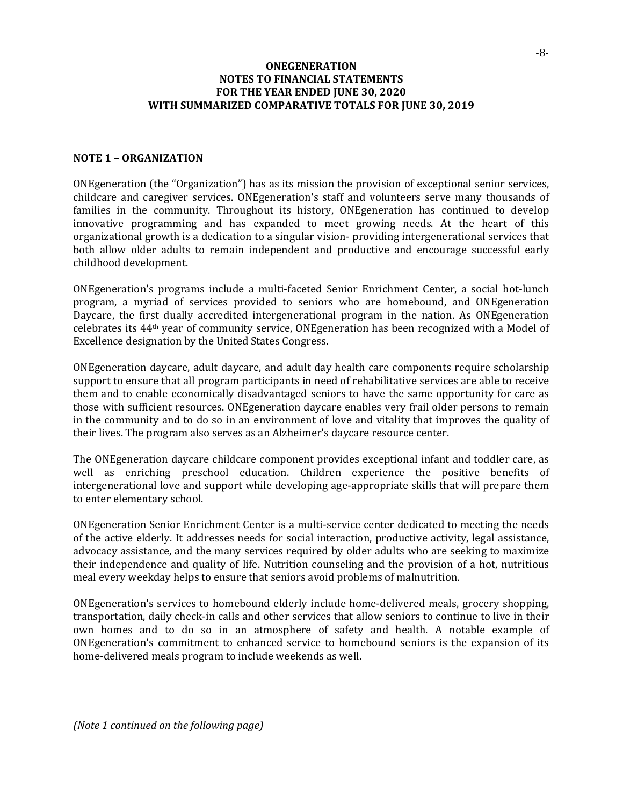#### **NOTE 1 – ORGANIZATION**

ONEgeneration (the "Organization") has as its mission the provision of exceptional senior services, childcare and caregiver services. ONEgeneration's staff and volunteers serve many thousands of families in the community. Throughout its history, ONEgeneration has continued to develop innovative programming and has expanded to meet growing needs. At the heart of this organizational growth is a dedication to a singular vision- providing intergenerational services that both allow older adults to remain independent and productive and encourage successful early childhood development.

ONEgeneration's programs include a multi-faceted Senior Enrichment Center, a social hot-lunch program, a myriad of services provided to seniors who are homebound, and ONEgeneration Daycare, the first dually accredited intergenerational program in the nation. As ONEgeneration celebrates its 44th year of community service, ONEgeneration has been recognized with a Model of Excellence designation by the United States Congress.

ONEgeneration daycare, adult daycare, and adult day health care components require scholarship support to ensure that all program participants in need of rehabilitative services are able to receive them and to enable economically disadvantaged seniors to have the same opportunity for care as those with sufficient resources. ONEgeneration daycare enables very frail older persons to remain in the community and to do so in an environment of love and vitality that improves the quality of their lives. The program also serves as an Alzheimer's daycare resource center.

The ONEgeneration daycare childcare component provides exceptional infant and toddler care, as well as enriching preschool education. Children experience the positive benefits of intergenerational love and support while developing age-appropriate skills that will prepare them to enter elementary school.

ONEgeneration Senior Enrichment Center is a multi-service center dedicated to meeting the needs of the active elderly. It addresses needs for social interaction, productive activity, legal assistance, advocacy assistance, and the many services required by older adults who are seeking to maximize their independence and quality of life. Nutrition counseling and the provision of a hot, nutritious meal every weekday helps to ensure that seniors avoid problems of malnutrition.

ONEgeneration's services to homebound elderly include home-delivered meals, grocery shopping, transportation, daily check-in calls and other services that allow seniors to continue to live in their own homes and to do so in an atmosphere of safety and health. A notable example of ONEgeneration's commitment to enhanced service to homebound seniors is the expansion of its home-delivered meals program to include weekends as well.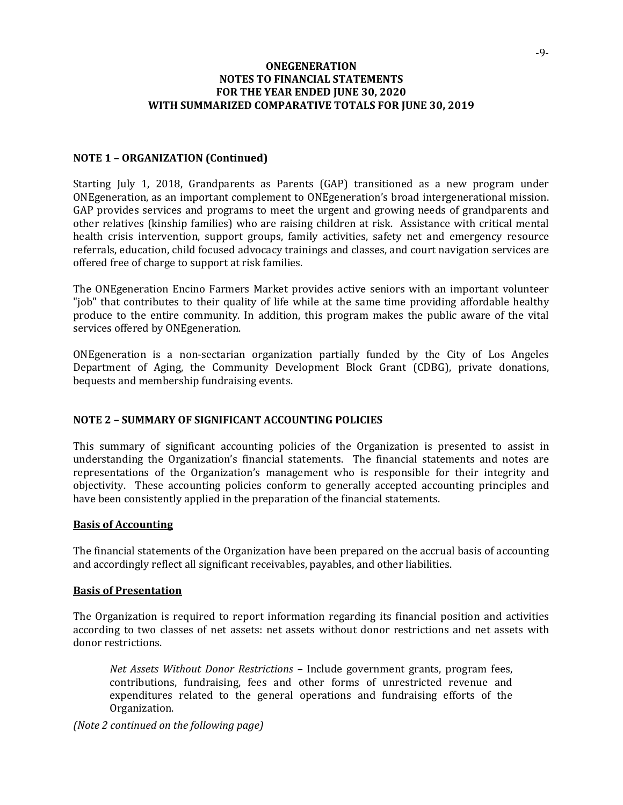#### **NOTE 1 – ORGANIZATION (Continued)**

Starting July 1, 2018, Grandparents as Parents (GAP) transitioned as a new program under ONEgeneration, as an important complement to ONEgeneration's broad intergenerational mission. GAP provides services and programs to meet the urgent and growing needs of grandparents and other relatives (kinship families) who are raising children at risk. Assistance with critical mental health crisis intervention, support groups, family activities, safety net and emergency resource referrals, education, child focused advocacy trainings and classes, and court navigation services are offered free of charge to support at risk families.

The ONEgeneration Encino Farmers Market provides active seniors with an important volunteer "job" that contributes to their quality of life while at the same time providing affordable healthy produce to the entire community. In addition, this program makes the public aware of the vital services offered by ONEgeneration.

ONEgeneration is a non-sectarian organization partially funded by the City of Los Angeles Department of Aging, the Community Development Block Grant (CDBG), private donations, bequests and membership fundraising events.

#### **NOTE 2 – SUMMARY OF SIGNIFICANT ACCOUNTING POLICIES**

This summary of significant accounting policies of the Organization is presented to assist in understanding the Organization's financial statements. The financial statements and notes are representations of the Organization's management who is responsible for their integrity and objectivity. These accounting policies conform to generally accepted accounting principles and have been consistently applied in the preparation of the financial statements.

#### **Basis of Accounting**

The financial statements of the Organization have been prepared on the accrual basis of accounting and accordingly reflect all significant receivables, payables, and other liabilities.

#### **Basis of Presentation**

The Organization is required to report information regarding its financial position and activities according to two classes of net assets: net assets without donor restrictions and net assets with donor restrictions.

*Net Assets Without Donor Restrictions –* Include government grants, program fees, contributions, fundraising, fees and other forms of unrestricted revenue and expenditures related to the general operations and fundraising efforts of the Organization.

*(Note 2 continued on the following page)*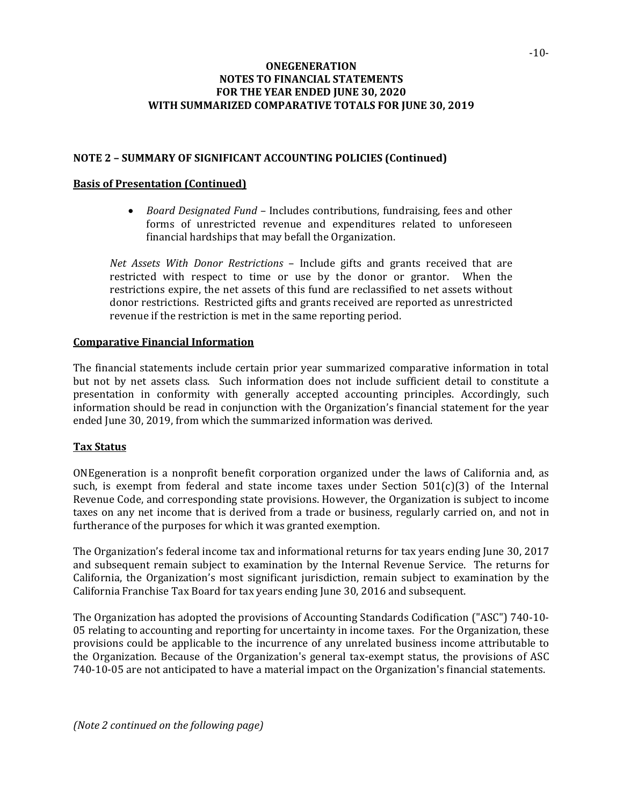#### **NOTE 2 – SUMMARY OF SIGNIFICANT ACCOUNTING POLICIES (Continued)**

#### **Basis of Presentation (Continued)**

 *Board Designated Fund –* Includes contributions, fundraising, fees and other forms of unrestricted revenue and expenditures related to unforeseen financial hardships that may befall the Organization.

*Net Assets With Donor Restrictions* – Include gifts and grants received that are restricted with respect to time or use by the donor or grantor. When the restrictions expire, the net assets of this fund are reclassified to net assets without donor restrictions. Restricted gifts and grants received are reported as unrestricted revenue if the restriction is met in the same reporting period.

#### **Comparative Financial Information**

The financial statements include certain prior year summarized comparative information in total but not by net assets class. Such information does not include sufficient detail to constitute a presentation in conformity with generally accepted accounting principles. Accordingly, such information should be read in conjunction with the Organization's financial statement for the year ended June 30, 2019, from which the summarized information was derived.

#### **Tax Status**

ONEgeneration is a nonprofit benefit corporation organized under the laws of California and, as such, is exempt from federal and state income taxes under Section  $501(c)(3)$  of the Internal Revenue Code, and corresponding state provisions. However, the Organization is subject to income taxes on any net income that is derived from a trade or business, regularly carried on, and not in furtherance of the purposes for which it was granted exemption.

The Organization's federal income tax and informational returns for tax years ending June 30, 2017 and subsequent remain subject to examination by the Internal Revenue Service. The returns for California, the Organization's most significant jurisdiction, remain subject to examination by the California Franchise Tax Board for tax years ending June 30, 2016 and subsequent.

The Organization has adopted the provisions of Accounting Standards Codification ("ASC") 740-10- 05 relating to accounting and reporting for uncertainty in income taxes. For the Organization, these provisions could be applicable to the incurrence of any unrelated business income attributable to the Organization. Because of the Organization's general tax-exempt status, the provisions of ASC 740-10-05 are not anticipated to have a material impact on the Organization's financial statements.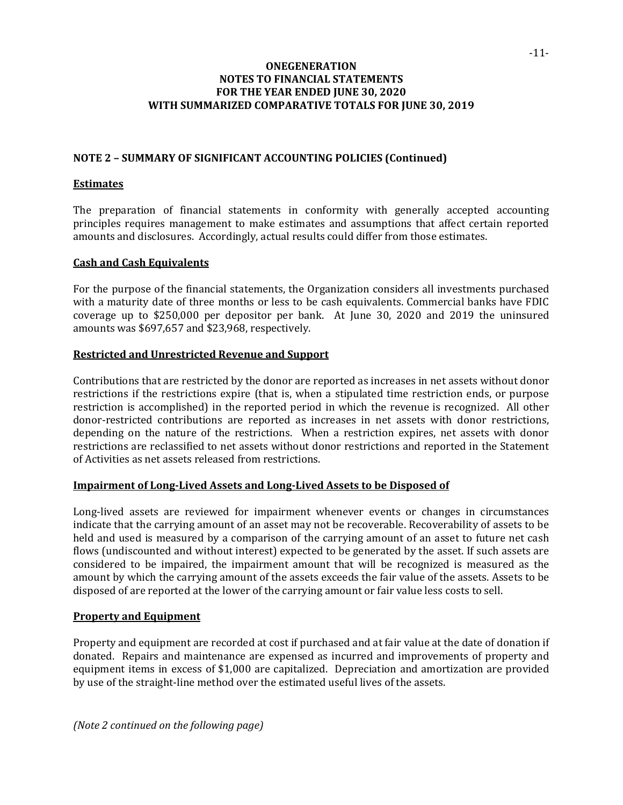#### **NOTE 2 – SUMMARY OF SIGNIFICANT ACCOUNTING POLICIES (Continued)**

#### **Estimates**

The preparation of financial statements in conformity with generally accepted accounting principles requires management to make estimates and assumptions that affect certain reported amounts and disclosures. Accordingly, actual results could differ from those estimates.

## **Cash and Cash Equivalents**

For the purpose of the financial statements, the Organization considers all investments purchased with a maturity date of three months or less to be cash equivalents. Commercial banks have FDIC coverage up to \$250,000 per depositor per bank. At June 30, 2020 and 2019 the uninsured amounts was \$697,657 and \$23,968, respectively.

## **Restricted and Unrestricted Revenue and Support**

Contributions that are restricted by the donor are reported as increases in net assets without donor restrictions if the restrictions expire (that is, when a stipulated time restriction ends, or purpose restriction is accomplished) in the reported period in which the revenue is recognized. All other donor-restricted contributions are reported as increases in net assets with donor restrictions, depending on the nature of the restrictions. When a restriction expires, net assets with donor restrictions are reclassified to net assets without donor restrictions and reported in the Statement of Activities as net assets released from restrictions.

#### **Impairment of Long‐Lived Assets and Long‐Lived Assets to be Disposed of**

Long-lived assets are reviewed for impairment whenever events or changes in circumstances indicate that the carrying amount of an asset may not be recoverable. Recoverability of assets to be held and used is measured by a comparison of the carrying amount of an asset to future net cash flows (undiscounted and without interest) expected to be generated by the asset. If such assets are considered to be impaired, the impairment amount that will be recognized is measured as the amount by which the carrying amount of the assets exceeds the fair value of the assets. Assets to be disposed of are reported at the lower of the carrying amount or fair value less costs to sell.

#### **Property and Equipment**

Property and equipment are recorded at cost if purchased and at fair value at the date of donation if donated. Repairs and maintenance are expensed as incurred and improvements of property and equipment items in excess of \$1,000 are capitalized. Depreciation and amortization are provided by use of the straight-line method over the estimated useful lives of the assets.

*(Note 2 continued on the following page)*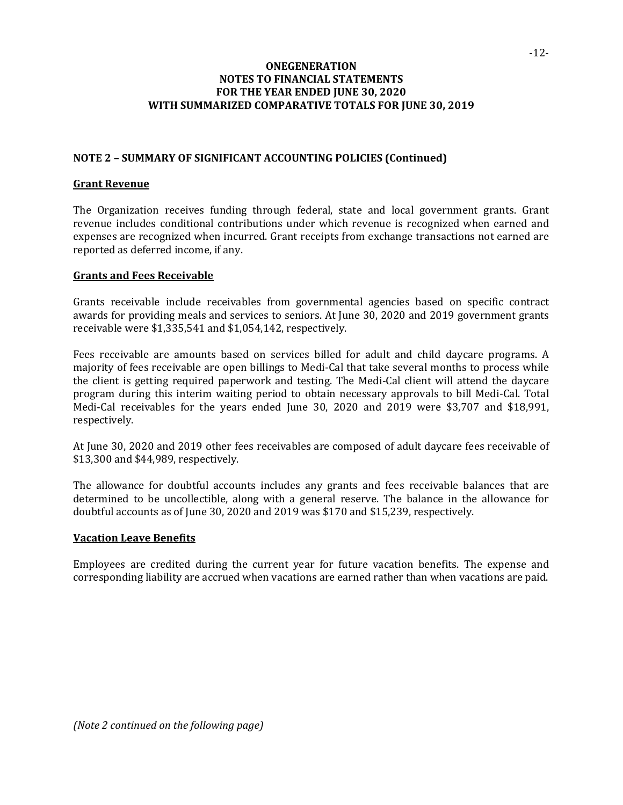#### **NOTE 2 – SUMMARY OF SIGNIFICANT ACCOUNTING POLICIES (Continued)**

#### **Grant Revenue**

The Organization receives funding through federal, state and local government grants. Grant revenue includes conditional contributions under which revenue is recognized when earned and expenses are recognized when incurred. Grant receipts from exchange transactions not earned are reported as deferred income, if any.

#### **Grants and Fees Receivable**

Grants receivable include receivables from governmental agencies based on specific contract awards for providing meals and services to seniors. At June 30, 2020 and 2019 government grants receivable were \$1,335,541 and \$1,054,142, respectively.

Fees receivable are amounts based on services billed for adult and child daycare programs. A majority of fees receivable are open billings to Medi-Cal that take several months to process while the client is getting required paperwork and testing. The Medi-Cal client will attend the daycare program during this interim waiting period to obtain necessary approvals to bill Medi-Cal. Total Medi-Cal receivables for the years ended June 30, 2020 and 2019 were \$3,707 and \$18,991, respectively.

At June 30, 2020 and 2019 other fees receivables are composed of adult daycare fees receivable of \$13,300 and \$44,989, respectively.

The allowance for doubtful accounts includes any grants and fees receivable balances that are determined to be uncollectible, along with a general reserve. The balance in the allowance for doubtful accounts as of June 30, 2020 and 2019 was \$170 and \$15,239, respectively.

#### **Vacation Leave Benefits**

Employees are credited during the current year for future vacation benefits. The expense and corresponding liability are accrued when vacations are earned rather than when vacations are paid.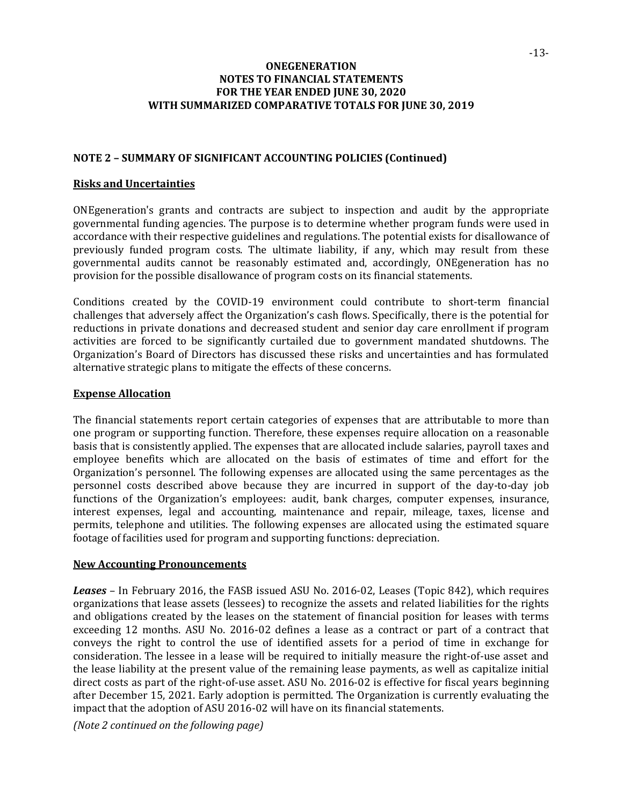#### **NOTE 2 – SUMMARY OF SIGNIFICANT ACCOUNTING POLICIES (Continued)**

#### **Risks and Uncertainties**

ONEgeneration's grants and contracts are subject to inspection and audit by the appropriate governmental funding agencies. The purpose is to determine whether program funds were used in accordance with their respective guidelines and regulations. The potential exists for disallowance of previously funded program costs. The ultimate liability, if any, which may result from these governmental audits cannot be reasonably estimated and, accordingly, ONEgeneration has no provision for the possible disallowance of program costs on its financial statements.

Conditions created by the COVID-19 environment could contribute to short-term financial challenges that adversely affect the Organization's cash flows. Specifically, there is the potential for reductions in private donations and decreased student and senior day care enrollment if program activities are forced to be significantly curtailed due to government mandated shutdowns. The Organization's Board of Directors has discussed these risks and uncertainties and has formulated alternative strategic plans to mitigate the effects of these concerns.

#### **Expense Allocation**

The financial statements report certain categories of expenses that are attributable to more than one program or supporting function. Therefore, these expenses require allocation on a reasonable basis that is consistently applied. The expenses that are allocated include salaries, payroll taxes and employee benefits which are allocated on the basis of estimates of time and effort for the Organization's personnel. The following expenses are allocated using the same percentages as the personnel costs described above because they are incurred in support of the day-to-day job functions of the Organization's employees: audit, bank charges, computer expenses, insurance, interest expenses, legal and accounting, maintenance and repair, mileage, taxes, license and permits, telephone and utilities. The following expenses are allocated using the estimated square footage of facilities used for program and supporting functions: depreciation.

#### **New Accounting Pronouncements**

*Leases* – In February 2016, the FASB issued ASU No. 2016-02, Leases (Topic 842), which requires organizations that lease assets (lessees) to recognize the assets and related liabilities for the rights and obligations created by the leases on the statement of financial position for leases with terms exceeding 12 months. ASU No. 2016-02 defines a lease as a contract or part of a contract that conveys the right to control the use of identified assets for a period of time in exchange for consideration. The lessee in a lease will be required to initially measure the right-of-use asset and the lease liability at the present value of the remaining lease payments, as well as capitalize initial direct costs as part of the right-of-use asset. ASU No. 2016-02 is effective for fiscal years beginning after December 15, 2021. Early adoption is permitted. The Organization is currently evaluating the impact that the adoption of ASU 2016-02 will have on its financial statements.

*(Note 2 continued on the following page)*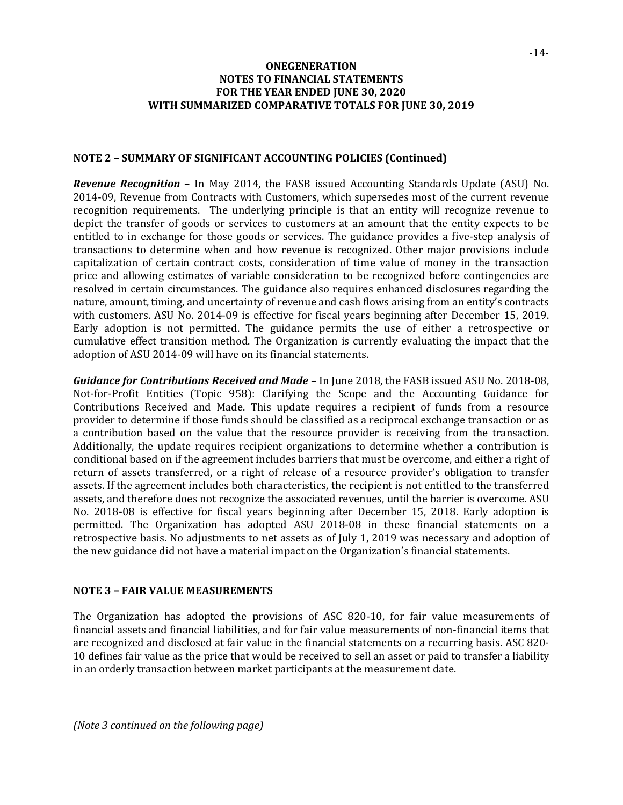#### **NOTE 2 – SUMMARY OF SIGNIFICANT ACCOUNTING POLICIES (Continued)**

*Revenue Recognition* – In May 2014, the FASB issued Accounting Standards Update (ASU) No. 2014-09, Revenue from Contracts with Customers, which supersedes most of the current revenue recognition requirements. The underlying principle is that an entity will recognize revenue to depict the transfer of goods or services to customers at an amount that the entity expects to be entitled to in exchange for those goods or services. The guidance provides a five-step analysis of transactions to determine when and how revenue is recognized. Other major provisions include capitalization of certain contract costs, consideration of time value of money in the transaction price and allowing estimates of variable consideration to be recognized before contingencies are resolved in certain circumstances. The guidance also requires enhanced disclosures regarding the nature, amount, timing, and uncertainty of revenue and cash flows arising from an entity's contracts with customers. ASU No. 2014-09 is effective for fiscal years beginning after December 15, 2019. Early adoption is not permitted. The guidance permits the use of either a retrospective or cumulative effect transition method. The Organization is currently evaluating the impact that the adoption of ASU 2014-09 will have on its financial statements.

*Guidance for Contributions Received and Made* – In June 2018, the FASB issued ASU No. 2018-08, Not-for-Profit Entities (Topic 958): Clarifying the Scope and the Accounting Guidance for Contributions Received and Made. This update requires a recipient of funds from a resource provider to determine if those funds should be classified as a reciprocal exchange transaction or as a contribution based on the value that the resource provider is receiving from the transaction. Additionally, the update requires recipient organizations to determine whether a contribution is conditional based on if the agreement includes barriers that must be overcome, and either a right of return of assets transferred, or a right of release of a resource provider's obligation to transfer assets. If the agreement includes both characteristics, the recipient is not entitled to the transferred assets, and therefore does not recognize the associated revenues, until the barrier is overcome. ASU No. 2018-08 is effective for fiscal years beginning after December 15, 2018. Early adoption is permitted. The Organization has adopted ASU 2018-08 in these financial statements on a retrospective basis. No adjustments to net assets as of July 1, 2019 was necessary and adoption of the new guidance did not have a material impact on the Organization's financial statements.

#### **NOTE 3 – FAIR VALUE MEASUREMENTS**

The Organization has adopted the provisions of ASC 820-10, for fair value measurements of financial assets and financial liabilities, and for fair value measurements of non-financial items that are recognized and disclosed at fair value in the financial statements on a recurring basis. ASC 820- 10 defines fair value as the price that would be received to sell an asset or paid to transfer a liability in an orderly transaction between market participants at the measurement date.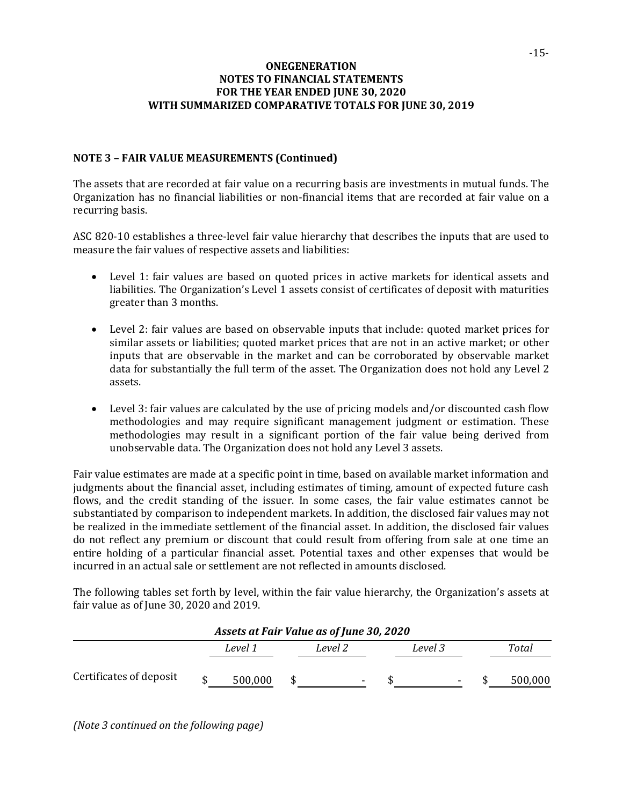#### **NOTE 3 – FAIR VALUE MEASUREMENTS (Continued)**

The assets that are recorded at fair value on a recurring basis are investments in mutual funds. The Organization has no financial liabilities or non-financial items that are recorded at fair value on a recurring basis.

ASC 820-10 establishes a three-level fair value hierarchy that describes the inputs that are used to measure the fair values of respective assets and liabilities:

- Level 1: fair values are based on quoted prices in active markets for identical assets and liabilities. The Organization's Level 1 assets consist of certificates of deposit with maturities greater than 3 months.
- Level 2: fair values are based on observable inputs that include: quoted market prices for similar assets or liabilities; quoted market prices that are not in an active market; or other inputs that are observable in the market and can be corroborated by observable market data for substantially the full term of the asset. The Organization does not hold any Level 2 assets.
- Level 3: fair values are calculated by the use of pricing models and/or discounted cash flow methodologies and may require significant management judgment or estimation. These methodologies may result in a significant portion of the fair value being derived from unobservable data. The Organization does not hold any Level 3 assets.

Fair value estimates are made at a specific point in time, based on available market information and judgments about the financial asset, including estimates of timing, amount of expected future cash flows, and the credit standing of the issuer. In some cases, the fair value estimates cannot be substantiated by comparison to independent markets. In addition, the disclosed fair values may not be realized in the immediate settlement of the financial asset. In addition, the disclosed fair values do not reflect any premium or discount that could result from offering from sale at one time an entire holding of a particular financial asset. Potential taxes and other expenses that would be incurred in an actual sale or settlement are not reflected in amounts disclosed.

The following tables set forth by level, within the fair value hierarchy, the Organization's assets at fair value as of June 30, 2020 and 2019.

|                         |         | Assets at Fair Value as of June 30, 2020 |                          |         |
|-------------------------|---------|------------------------------------------|--------------------------|---------|
|                         | Level 1 | Level 2                                  | Level 3                  | Total   |
| Certificates of deposit | 500,000 | $\overline{\phantom{0}}$                 | $\overline{\phantom{0}}$ | 500,000 |

# *Assets at Fair Value as of June 30, 2020*

*(Note 3 continued on the following page)*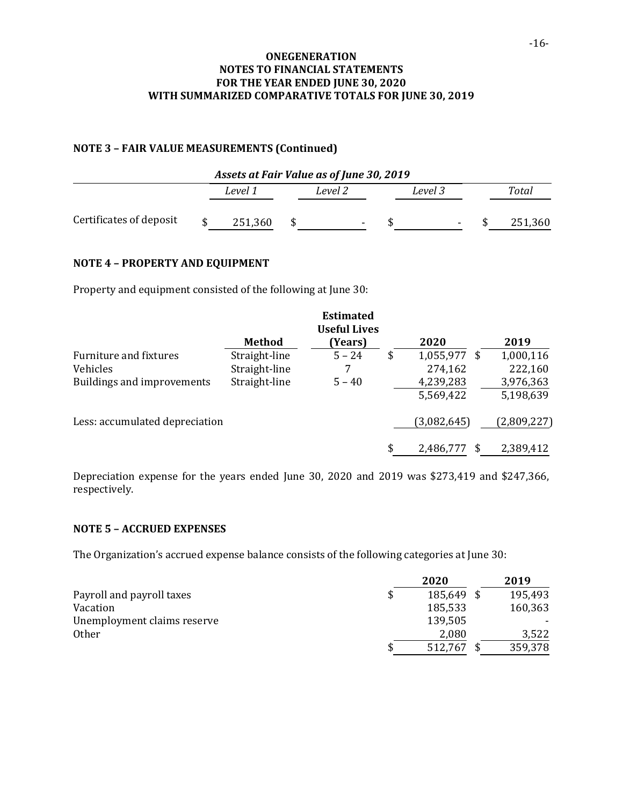## **NOTE 3 – FAIR VALUE MEASUREMENTS (Continued)**

|                         | Assets at Fair Value as of June 30, 2019 |         |  |         |                          |         |
|-------------------------|------------------------------------------|---------|--|---------|--------------------------|---------|
|                         | Level 1                                  | Level 2 |  | Level 3 |                          | Total   |
| Certificates of deposit | 251,360                                  |         |  |         | $\overline{\phantom{a}}$ | 251,360 |

# **NOTE 4 – PROPERTY AND EQUIPMENT**

Property and equipment consisted of the following at June 30:

|                                |               | <b>Estimated</b><br><b>Useful Lives</b> |                         |             |
|--------------------------------|---------------|-----------------------------------------|-------------------------|-------------|
|                                | <b>Method</b> | (Years)                                 | 2020                    | 2019        |
| Furniture and fixtures         | Straight-line | $5 - 24$                                | \$<br>1,055,977<br>- \$ | 1,000,116   |
| Vehicles                       | Straight-line | 7                                       | 274,162                 | 222,160     |
| Buildings and improvements     | Straight-line | $5 - 40$                                | 4,239,283               | 3,976,363   |
|                                |               |                                         | 5,569,422               | 5,198,639   |
| Less: accumulated depreciation |               |                                         | (3,082,645)             | (2,809,227) |
|                                |               |                                         | \$<br>2,486,777         | 2,389,412   |

Depreciation expense for the years ended June 30, 2020 and 2019 was \$273,419 and \$247,366, respectively.

#### **NOTE 5 – ACCRUED EXPENSES**

The Organization's accrued expense balance consists of the following categories at June 30:

|                             | 2020       | 2019    |
|-----------------------------|------------|---------|
| Payroll and payroll taxes   | 185,649 \$ | 195,493 |
| Vacation                    | 185,533    | 160,363 |
| Unemployment claims reserve | 139,505    |         |
| <b>Other</b>                | 2,080      | 3,522   |
|                             | 512,767    | 359,378 |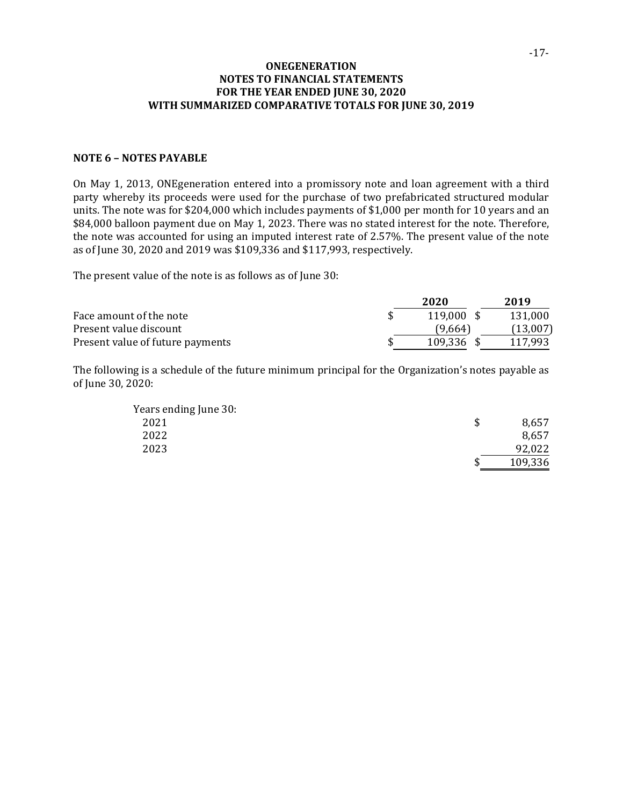#### **NOTE 6 – NOTES PAYABLE**

On May 1, 2013, ONEgeneration entered into a promissory note and loan agreement with a third party whereby its proceeds were used for the purchase of two prefabricated structured modular units. The note was for \$204,000 which includes payments of \$1,000 per month for 10 years and an \$84,000 balloon payment due on May 1, 2023. There was no stated interest for the note. Therefore, the note was accounted for using an imputed interest rate of 2.57%. The present value of the note as of June 30, 2020 and 2019 was \$109,336 and \$117,993, respectively.

The present value of the note is as follows as of June 30:

|                                  | 2020       | 2019     |
|----------------------------------|------------|----------|
| Face amount of the note          | 119.000 \$ | 131,000  |
| Present value discount           | (9,664)    | (13,007) |
| Present value of future payments | 109,336 \$ | 117.993  |

The following is a schedule of the future minimum principal for the Organization's notes payable as of June 30, 2020:

Years ending June 30:

| 2021 | ۰D | 8,657   |
|------|----|---------|
| 2022 |    | 8,657   |
| 2023 |    | 92,022  |
|      | \$ | 109,336 |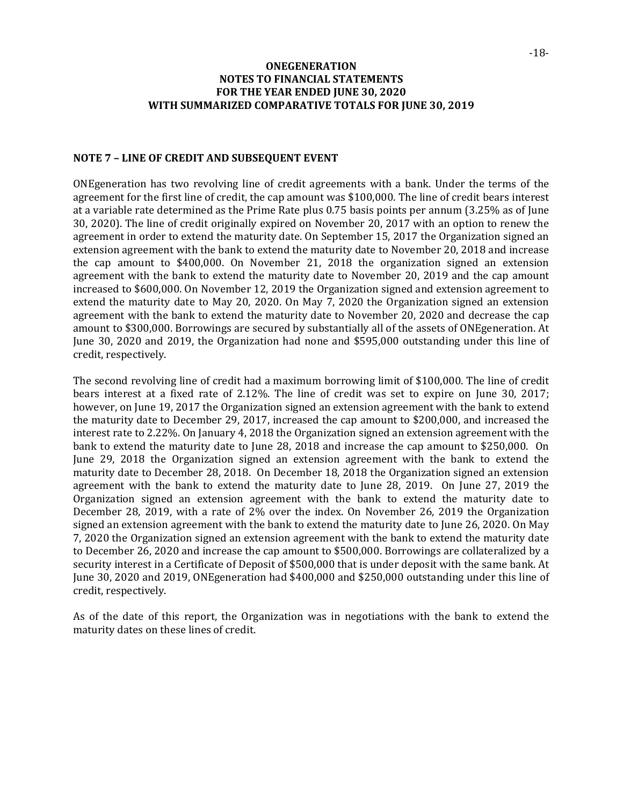#### **NOTE 7 – LINE OF CREDIT AND SUBSEQUENT EVENT**

ONEgeneration has two revolving line of credit agreements with a bank. Under the terms of the agreement for the first line of credit, the cap amount was \$100,000. The line of credit bears interest at a variable rate determined as the Prime Rate plus 0.75 basis points per annum (3.25% as of June 30, 2020). The line of credit originally expired on November 20, 2017 with an option to renew the agreement in order to extend the maturity date. On September 15, 2017 the Organization signed an extension agreement with the bank to extend the maturity date to November 20, 2018 and increase the cap amount to \$400,000. On November 21, 2018 the organization signed an extension agreement with the bank to extend the maturity date to November 20, 2019 and the cap amount increased to \$600,000. On November 12, 2019 the Organization signed and extension agreement to extend the maturity date to May 20, 2020. On May 7, 2020 the Organization signed an extension agreement with the bank to extend the maturity date to November 20, 2020 and decrease the cap amount to \$300,000. Borrowings are secured by substantially all of the assets of ONEgeneration. At June 30, 2020 and 2019, the Organization had none and \$595,000 outstanding under this line of credit, respectively.

The second revolving line of credit had a maximum borrowing limit of \$100,000. The line of credit bears interest at a fixed rate of 2.12%. The line of credit was set to expire on June 30, 2017; however, on June 19, 2017 the Organization signed an extension agreement with the bank to extend the maturity date to December 29, 2017, increased the cap amount to \$200,000, and increased the interest rate to 2.22%. On January 4, 2018 the Organization signed an extension agreement with the bank to extend the maturity date to June 28, 2018 and increase the cap amount to \$250,000. On June 29, 2018 the Organization signed an extension agreement with the bank to extend the maturity date to December 28, 2018. On December 18, 2018 the Organization signed an extension agreement with the bank to extend the maturity date to June 28, 2019. On June 27, 2019 the Organization signed an extension agreement with the bank to extend the maturity date to December 28, 2019, with a rate of 2% over the index. On November 26, 2019 the Organization signed an extension agreement with the bank to extend the maturity date to June 26, 2020. On May 7, 2020 the Organization signed an extension agreement with the bank to extend the maturity date to December 26, 2020 and increase the cap amount to \$500,000. Borrowings are collateralized by a security interest in a Certificate of Deposit of \$500,000 that is under deposit with the same bank. At June 30, 2020 and 2019, ONEgeneration had \$400,000 and \$250,000 outstanding under this line of credit, respectively.

As of the date of this report, the Organization was in negotiations with the bank to extend the maturity dates on these lines of credit.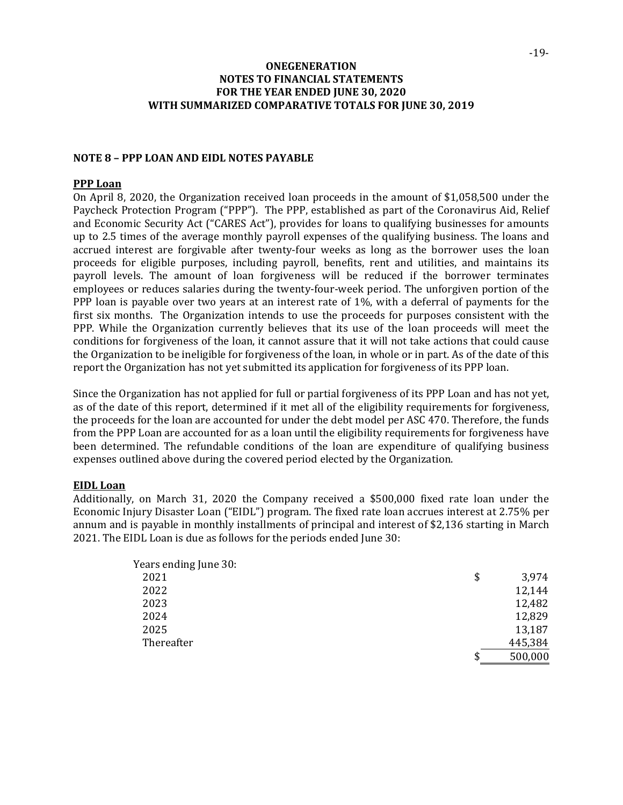#### **NOTE 8 – PPP LOAN AND EIDL NOTES PAYABLE**

#### **PPP Loan**

On April 8, 2020, the Organization received loan proceeds in the amount of \$1,058,500 under the Paycheck Protection Program ("PPP"). The PPP, established as part of the Coronavirus Aid, Relief and Economic Security Act ("CARES Act"), provides for loans to qualifying businesses for amounts up to 2.5 times of the average monthly payroll expenses of the qualifying business. The loans and accrued interest are forgivable after twenty-four weeks as long as the borrower uses the loan proceeds for eligible purposes, including payroll, benefits, rent and utilities, and maintains its payroll levels. The amount of loan forgiveness will be reduced if the borrower terminates employees or reduces salaries during the twenty-four-week period. The unforgiven portion of the PPP loan is payable over two years at an interest rate of 1%, with a deferral of payments for the first six months. The Organization intends to use the proceeds for purposes consistent with the PPP. While the Organization currently believes that its use of the loan proceeds will meet the conditions for forgiveness of the loan, it cannot assure that it will not take actions that could cause the Organization to be ineligible for forgiveness of the loan, in whole or in part. As of the date of this report the Organization has not yet submitted its application for forgiveness of its PPP loan.

Since the Organization has not applied for full or partial forgiveness of its PPP Loan and has not yet, as of the date of this report, determined if it met all of the eligibility requirements for forgiveness, the proceeds for the loan are accounted for under the debt model per ASC 470. Therefore, the funds from the PPP Loan are accounted for as a loan until the eligibility requirements for forgiveness have been determined. The refundable conditions of the loan are expenditure of qualifying business expenses outlined above during the covered period elected by the Organization.

#### **EIDL Loan**

Additionally, on March 31, 2020 the Company received a \$500,000 fixed rate loan under the Economic Injury Disaster Loan ("EIDL") program. The fixed rate loan accrues interest at 2.75% per annum and is payable in monthly installments of principal and interest of \$2,136 starting in March 2021. The EIDL Loan is due as follows for the periods ended June 30:

| Years ending June 30: |               |
|-----------------------|---------------|
| 2021                  | 3,974<br>\$   |
| 2022                  | 12,144        |
| 2023                  | 12,482        |
| 2024                  | 12,829        |
| 2025                  | 13,187        |
| Thereafter            | 445,384       |
|                       | 500,000<br>\$ |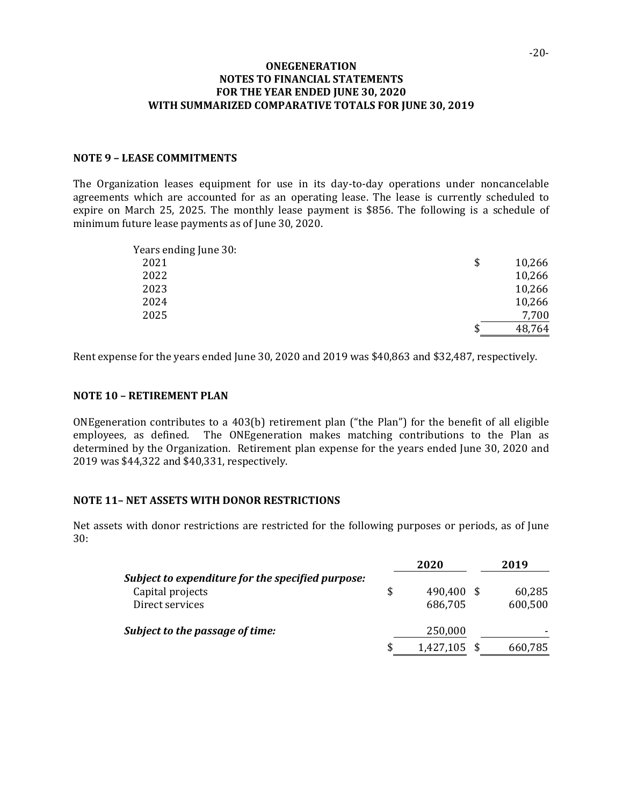#### **NOTE 9 – LEASE COMMITMENTS**

The Organization leases equipment for use in its day-to-day operations under noncancelable agreements which are accounted for as an operating lease. The lease is currently scheduled to expire on March 25, 2025. The monthly lease payment is \$856. The following is a schedule of minimum future lease payments as of June 30, 2020.

| Years ending June 30: |              |  |
|-----------------------|--------------|--|
| 2021                  | 10,266<br>\$ |  |
| 2022                  | 10,266       |  |
| 2023                  | 10,266       |  |
| 2024                  | 10,266       |  |
| 2025                  | 7,700        |  |
|                       | 48,764<br>\$ |  |

Rent expense for the years ended June 30, 2020 and 2019 was \$40,863 and \$32,487, respectively.

#### **NOTE 10 – RETIREMENT PLAN**

ONEgeneration contributes to a 403(b) retirement plan ("the Plan") for the benefit of all eligible employees, as defined. The ONEgeneration makes matching contributions to the Plan as determined by the Organization. Retirement plan expense for the years ended June 30, 2020 and 2019 was \$44,322 and \$40,331, respectively.

#### **NOTE 11– NET ASSETS WITH DONOR RESTRICTIONS**

Net assets with donor restrictions are restricted for the following purposes or periods, as of June 30:

|                                                   | 2020             | 2019    |
|---------------------------------------------------|------------------|---------|
| Subject to expenditure for the specified purpose: |                  |         |
| Capital projects                                  | \$<br>490,400 \$ | 60,285  |
| Direct services                                   | 686,705          | 600,500 |
| Subject to the passage of time:                   | 250,000          |         |
|                                                   | 1,427,105 \$     | 660,785 |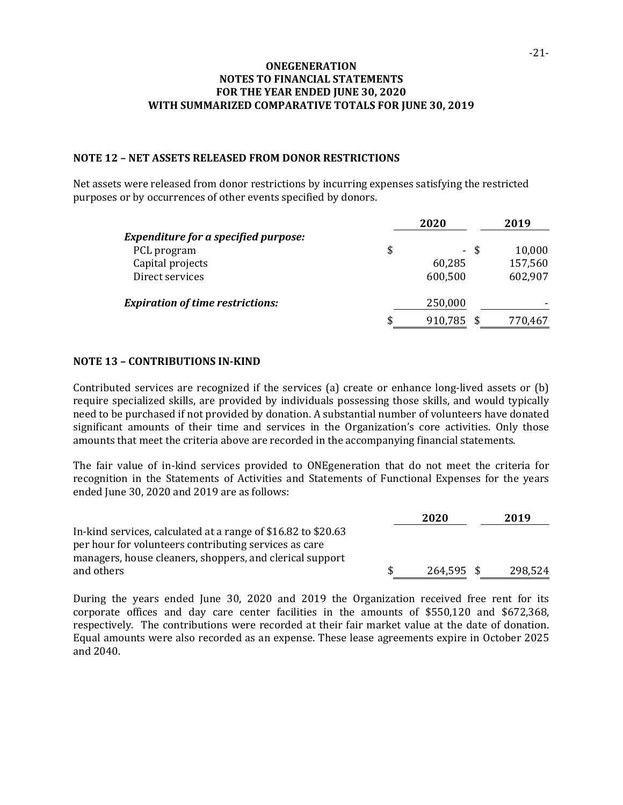#### **NOTE 12 – NET ASSETS RELEASED FROM DONOR RESTRICTIONS**

Net assets were released from donor restrictions by incurring expenses satisfying the restricted purposes or by occurrences of other events specified by donors.

|    |         | 2019 |         |
|----|---------|------|---------|
|    |         |      |         |
| \$ |         |      | 10,000  |
|    | 60,285  |      | 157,560 |
|    | 600,500 |      | 602,907 |
|    | 250,000 |      |         |
| \$ | 910,785 |      | 770.467 |
|    |         | 2020 | - \$    |

#### **NOTE 13 – CONTRIBUTIONS IN‐KIND**

Contributed services are recognized if the services (a) create or enhance long-lived assets or (b) require specialized skills, are provided by individuals possessing those skills, and would typically need to be purchased if not provided by donation. A substantial number of volunteers have donated significant amounts of their time and services in the Organization's core activities. Only those amounts that meet the criteria above are recorded in the accompanying financial statements.

The fair value of in-kind services provided to ONEgeneration that do not meet the criteria for recognition in the Statements of Activities and Statements of Functional Expenses for the years ended June 30, 2020 and 2019 are as follows:

|                                                               | 2020       | 2019    |
|---------------------------------------------------------------|------------|---------|
| In-kind services, calculated at a range of \$16.82 to \$20.63 |            |         |
| per hour for volunteers contributing services as care         |            |         |
| managers, house cleaners, shoppers, and clerical support      |            |         |
| and others                                                    | 264,595 \$ | 298,524 |

During the years ended June 30, 2020 and 2019 the Organization received free rent for its corporate offices and day care center facilities in the amounts of \$550,120 and \$672,368, respectively. The contributions were recorded at their fair market value at the date of donation. Equal amounts were also recorded as an expense. These lease agreements expire in October 2025 and 2040.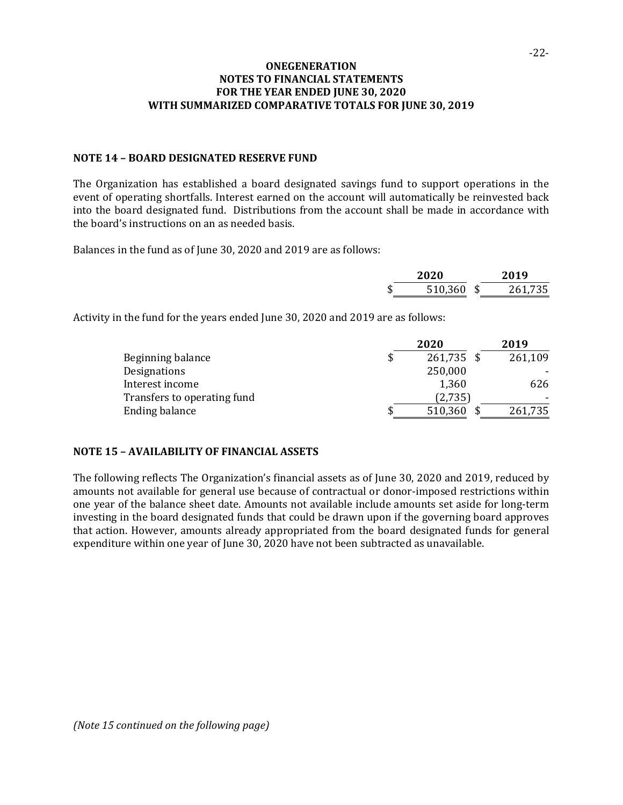#### **NOTE 14 – BOARD DESIGNATED RESERVE FUND**

The Organization has established a board designated savings fund to support operations in the event of operating shortfalls. Interest earned on the account will automatically be reinvested back into the board designated fund. Distributions from the account shall be made in accordance with the board's instructions on an as needed basis.

Balances in the fund as of June 30, 2020 and 2019 are as follows:

| 2020                 | 2019    |
|----------------------|---------|
| 510,360<br>\$<br>۵J. | 261,735 |

Activity in the fund for the years ended June 30, 2020 and 2019 are as follows:

|                             | 2020       | 2019 |         |  |
|-----------------------------|------------|------|---------|--|
| Beginning balance           | 261,735 \$ |      | 261,109 |  |
| Designations                | 250,000    |      |         |  |
| Interest income             | 1,360      |      | 626     |  |
| Transfers to operating fund | (2,735)    |      |         |  |
| Ending balance              | 510,360    |      | 261,735 |  |

#### **NOTE 15 – AVAILABILITY OF FINANCIAL ASSETS**

The following reflects The Organization's financial assets as of June 30, 2020 and 2019, reduced by amounts not available for general use because of contractual or donor-imposed restrictions within one year of the balance sheet date. Amounts not available include amounts set aside for long-term investing in the board designated funds that could be drawn upon if the governing board approves that action. However, amounts already appropriated from the board designated funds for general expenditure within one year of June 30, 2020 have not been subtracted as unavailable.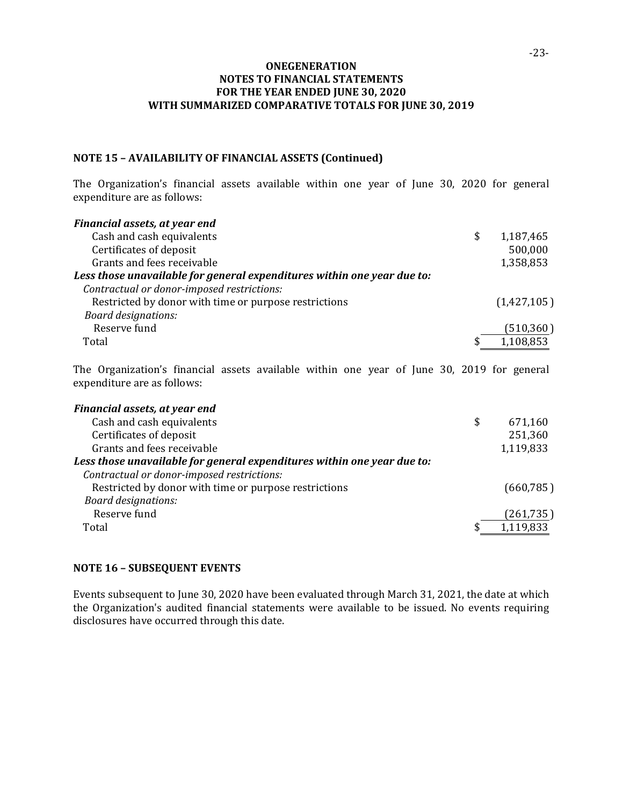# **NOTE 15 – AVAILABILITY OF FINANCIAL ASSETS (Continued)**

The Organization's financial assets available within one year of June 30, 2020 for general expenditure are as follows:

| Financial assets, at year end                                                                                             |                 |
|---------------------------------------------------------------------------------------------------------------------------|-----------------|
| Cash and cash equivalents                                                                                                 | \$<br>1,187,465 |
| Certificates of deposit                                                                                                   | 500,000         |
| Grants and fees receivable                                                                                                | 1,358,853       |
| Less those unavailable for general expenditures within one year due to:                                                   |                 |
| Contractual or donor-imposed restrictions:                                                                                |                 |
| Restricted by donor with time or purpose restrictions                                                                     | (1,427,105)     |
| <b>Board designations:</b>                                                                                                |                 |
| Reserve fund                                                                                                              | (510, 360)      |
| Total                                                                                                                     | 1,108,853       |
| The Organization's financial assets available within one year of June 30, 2019 for general<br>expenditure are as follows: |                 |
| Financial assets, at year end                                                                                             |                 |
| Cash and cash equivalents                                                                                                 | \$<br>671,160   |
| Certificates of deposit                                                                                                   | 251,360         |
| Grants and fees receivable                                                                                                | 1,119,833       |

| Less those unavailable for general expenditures within one year due to: |            |
|-------------------------------------------------------------------------|------------|
| Contractual or donor-imposed restrictions:                              |            |
| Restricted by donor with time or purpose restrictions                   | (660, 785) |
| <b>Board designations:</b>                                              |            |
| Reserve fund                                                            | (261,735)  |
| Total                                                                   | 1,119,833  |

#### **NOTE 16 – SUBSEQUENT EVENTS**

Events subsequent to June 30, 2020 have been evaluated through March 31, 2021, the date at which the Organization's audited financial statements were available to be issued. No events requiring disclosures have occurred through this date.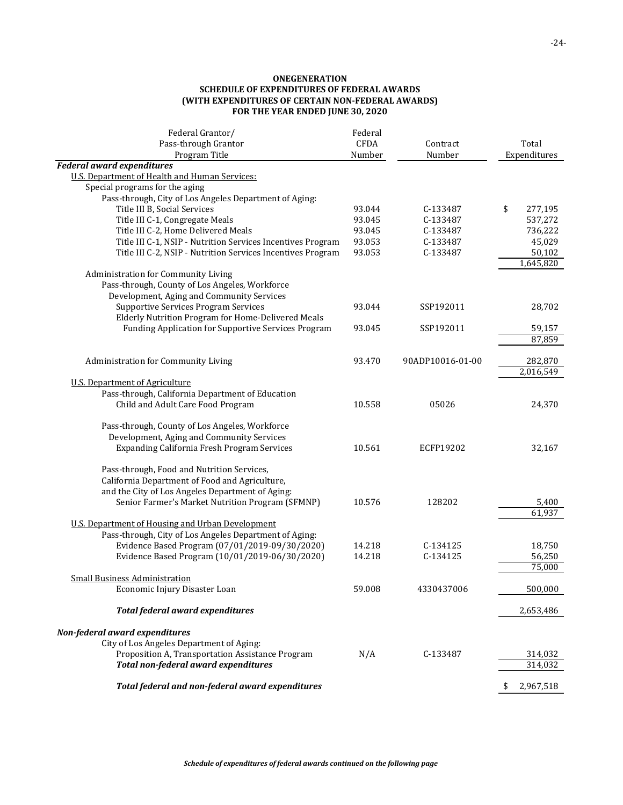#### **ONEGENERATION SCHEDULE OF EXPENDITURES OF FEDERAL AWARDS FOR THE YEAR ENDED JUNE 30, 2020 (WITH EXPENDITURES OF CERTAIN NON‐FEDERAL AWARDS)**

| Federal Grantor/                                            | Federal     |                  |                 |
|-------------------------------------------------------------|-------------|------------------|-----------------|
| Pass-through Grantor                                        | <b>CFDA</b> | Contract         | Total           |
| Program Title                                               | Number      | Number           | Expenditures    |
| <b>Federal award expenditures</b>                           |             |                  |                 |
| U.S. Department of Health and Human Services:               |             |                  |                 |
| Special programs for the aging                              |             |                  |                 |
| Pass-through, City of Los Angeles Department of Aging:      |             |                  |                 |
| Title III B, Social Services                                | 93.044      | C-133487         | \$<br>277,195   |
| Title III C-1, Congregate Meals                             | 93.045      | C-133487         | 537,272         |
| Title III C-2, Home Delivered Meals                         | 93.045      | C-133487         | 736,222         |
| Title III C-1, NSIP - Nutrition Services Incentives Program | 93.053      | C-133487         | 45,029          |
| Title III C-2, NSIP - Nutrition Services Incentives Program | 93.053      | C-133487         | 50,102          |
|                                                             |             |                  | 1,645,820       |
| Administration for Community Living                         |             |                  |                 |
| Pass-through, County of Los Angeles, Workforce              |             |                  |                 |
| Development, Aging and Community Services                   |             |                  |                 |
| <b>Supportive Services Program Services</b>                 | 93.044      | SSP192011        | 28,702          |
| Elderly Nutrition Program for Home-Delivered Meals          |             |                  |                 |
| Funding Application for Supportive Services Program         | 93.045      | SSP192011        | 59,157          |
|                                                             |             |                  | 87,859          |
|                                                             |             |                  |                 |
| Administration for Community Living                         | 93.470      | 90ADP10016-01-00 | 282,870         |
|                                                             |             |                  | 2,016,549       |
| <b>U.S. Department of Agriculture</b>                       |             |                  |                 |
| Pass-through, California Department of Education            |             |                  |                 |
| Child and Adult Care Food Program                           | 10.558      | 05026            | 24,370          |
|                                                             |             |                  |                 |
| Pass-through, County of Los Angeles, Workforce              |             |                  |                 |
| Development, Aging and Community Services                   |             |                  |                 |
| <b>Expanding California Fresh Program Services</b>          | 10.561      | ECFP19202        | 32,167          |
|                                                             |             |                  |                 |
| Pass-through, Food and Nutrition Services,                  |             |                  |                 |
| California Department of Food and Agriculture,              |             |                  |                 |
| and the City of Los Angeles Department of Aging:            |             |                  |                 |
| Senior Farmer's Market Nutrition Program (SFMNP)            | 10.576      | 128202           | 5,400           |
|                                                             |             |                  | 61,937          |
| U.S. Department of Housing and Urban Development            |             |                  |                 |
| Pass-through, City of Los Angeles Department of Aging:      |             |                  |                 |
| Evidence Based Program (07/01/2019-09/30/2020)              | 14.218      | C-134125         | 18,750          |
| Evidence Based Program (10/01/2019-06/30/2020)              | 14.218      | C-134125         | 56,250          |
|                                                             |             |                  | 75,000          |
| <b>Small Business Administration</b>                        |             |                  |                 |
| Economic Injury Disaster Loan                               | 59.008      | 4330437006       | 500,000         |
| <b>Total federal award expenditures</b>                     |             |                  | 2,653,486       |
|                                                             |             |                  |                 |
| Non-federal award expenditures                              |             |                  |                 |
| City of Los Angeles Department of Aging:                    |             |                  |                 |
| Proposition A, Transportation Assistance Program            | N/A         | C-133487         | 314,032         |
| <b>Total non-federal award expenditures</b>                 |             |                  | 314,032         |
| Total federal and non-federal award expenditures            |             |                  | 2,967,518<br>\$ |
|                                                             |             |                  |                 |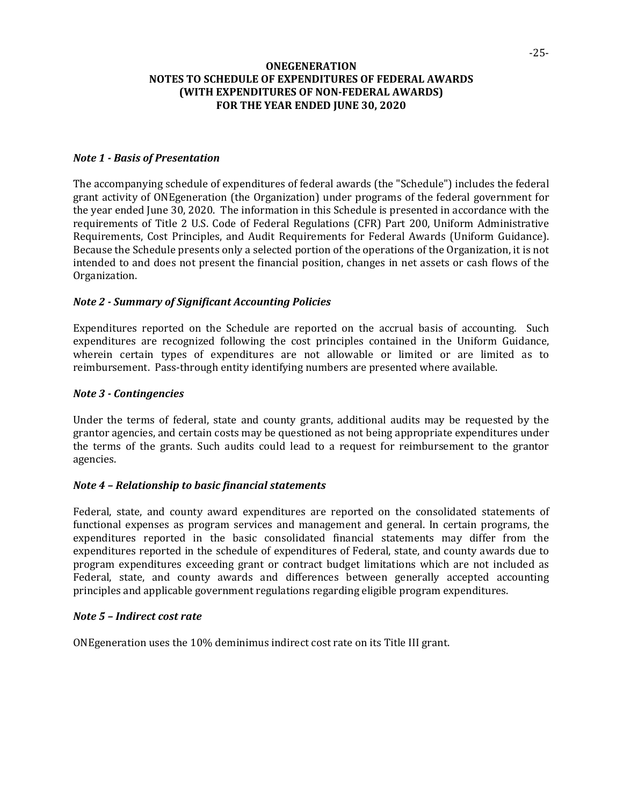#### **ONEGENERATION NOTES TO SCHEDULE OF EXPENDITURES OF FEDERAL AWARDS (WITH EXPENDITURES OF NON‐FEDERAL AWARDS) FOR THE YEAR ENDED JUNE 30, 2020**

#### *Note 1 ‐ Basis of Presentation*

The accompanying schedule of expenditures of federal awards (the "Schedule") includes the federal grant activity of ONEgeneration (the Organization) under programs of the federal government for the year ended June 30, 2020. The information in this Schedule is presented in accordance with the requirements of Title 2 U.S. Code of Federal Regulations (CFR) Part 200, Uniform Administrative Requirements, Cost Principles, and Audit Requirements for Federal Awards (Uniform Guidance). Because the Schedule presents only a selected portion of the operations of the Organization, it is not intended to and does not present the financial position, changes in net assets or cash flows of the Organization.

#### *Note 2 ‐ Summary of Significant Accounting Policies*

Expenditures reported on the Schedule are reported on the accrual basis of accounting. Such expenditures are recognized following the cost principles contained in the Uniform Guidance, wherein certain types of expenditures are not allowable or limited or are limited as to reimbursement. Pass-through entity identifying numbers are presented where available.

#### *Note 3 ‐ Contingencies*

Under the terms of federal, state and county grants, additional audits may be requested by the grantor agencies, and certain costs may be questioned as not being appropriate expenditures under the terms of the grants. Such audits could lead to a request for reimbursement to the grantor agencies.

#### *Note 4 – Relationship to basic financial statements*

Federal, state, and county award expenditures are reported on the consolidated statements of functional expenses as program services and management and general. In certain programs, the expenditures reported in the basic consolidated financial statements may differ from the expenditures reported in the schedule of expenditures of Federal, state, and county awards due to program expenditures exceeding grant or contract budget limitations which are not included as Federal, state, and county awards and differences between generally accepted accounting principles and applicable government regulations regarding eligible program expenditures.

#### *Note 5 – Indirect cost rate*

ONEgeneration uses the 10% deminimus indirect cost rate on its Title III grant.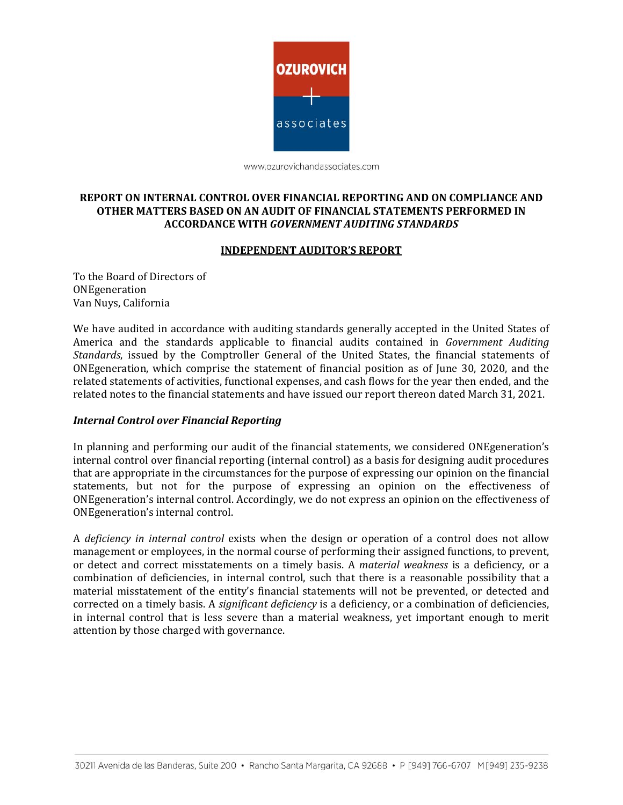

www.ozurovichandassociates.com

# **REPORT ON INTERNAL CONTROL OVER FINANCIAL REPORTING AND ON COMPLIANCE AND OTHER MATTERS BASED ON AN AUDIT OF FINANCIAL STATEMENTS PERFORMED IN ACCORDANCE WITH** *GOVERNMENT AUDITING STANDARDS*

## **INDEPENDENT AUDITOR'S REPORT**

To the Board of Directors of ONEgeneration Van Nuys, California

We have audited in accordance with auditing standards generally accepted in the United States of America and the standards applicable to financial audits contained in *Government Auditing Standards*, issued by the Comptroller General of the United States, the financial statements of ONEgeneration, which comprise the statement of financial position as of June 30, 2020, and the related statements of activities, functional expenses, and cash flows for the year then ended, and the related notes to the financial statements and have issued our report thereon dated March 31, 2021.

# *Internal Control over Financial Reporting*

In planning and performing our audit of the financial statements, we considered ONEgeneration's internal control over financial reporting (internal control) as a basis for designing audit procedures that are appropriate in the circumstances for the purpose of expressing our opinion on the financial statements, but not for the purpose of expressing an opinion on the effectiveness of ONEgeneration's internal control. Accordingly, we do not express an opinion on the effectiveness of ONEgeneration's internal control.

A *deficiency in internal control* exists when the design or operation of a control does not allow management or employees, in the normal course of performing their assigned functions, to prevent, or detect and correct misstatements on a timely basis. A *material weakness* is a deficiency, or a combination of deficiencies, in internal control, such that there is a reasonable possibility that a material misstatement of the entity's financial statements will not be prevented, or detected and corrected on a timely basis. A *significant deficiency* is a deficiency, or a combination of deficiencies, in internal control that is less severe than a material weakness, yet important enough to merit attention by those charged with governance.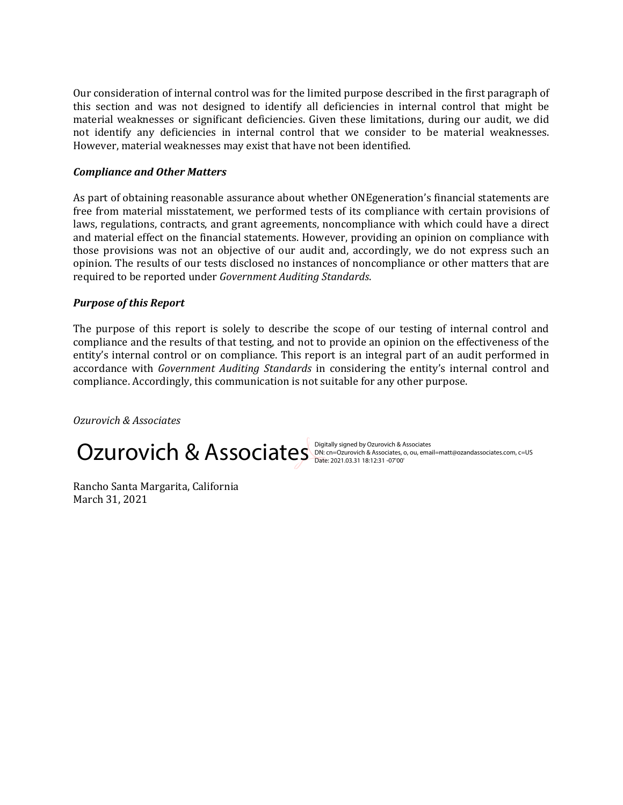Our consideration of internal control was for the limited purpose described in the first paragraph of this section and was not designed to identify all deficiencies in internal control that might be material weaknesses or significant deficiencies. Given these limitations, during our audit, we did not identify any deficiencies in internal control that we consider to be material weaknesses. However, material weaknesses may exist that have not been identified.

#### *Compliance and Other Matters*

As part of obtaining reasonable assurance about whether ONEgeneration's financial statements are free from material misstatement, we performed tests of its compliance with certain provisions of laws, regulations, contracts, and grant agreements, noncompliance with which could have a direct and material effect on the financial statements. However, providing an opinion on compliance with those provisions was not an objective of our audit and, accordingly, we do not express such an opinion. The results of our tests disclosed no instances of noncompliance or other matters that are required to be reported under *Government Auditing Standards*.

## *Purpose of this Report*

The purpose of this report is solely to describe the scope of our testing of internal control and compliance and the results of that testing, and not to provide an opinion on the effectiveness of the entity's internal control or on compliance. This report is an integral part of an audit performed in accordance with *Government Auditing Standards* in considering the entity's internal control and compliance. Accordingly, this communication is not suitable for any other purpose.

*Ozurovich & Associates*

 $O$ zurovich  $\&$  Associates Digitally signed by Ozurovich & Associates (a) cult expansion  $\&$  Associates (a), ou, emangle  $O$ 

DN: cn=Ozurovich & Associates, o, ou, email=matt@ozandassociates.com, c=US Date: 2021.03.31 18:12:31 -07'00'

Rancho Santa Margarita, California March 31, 2021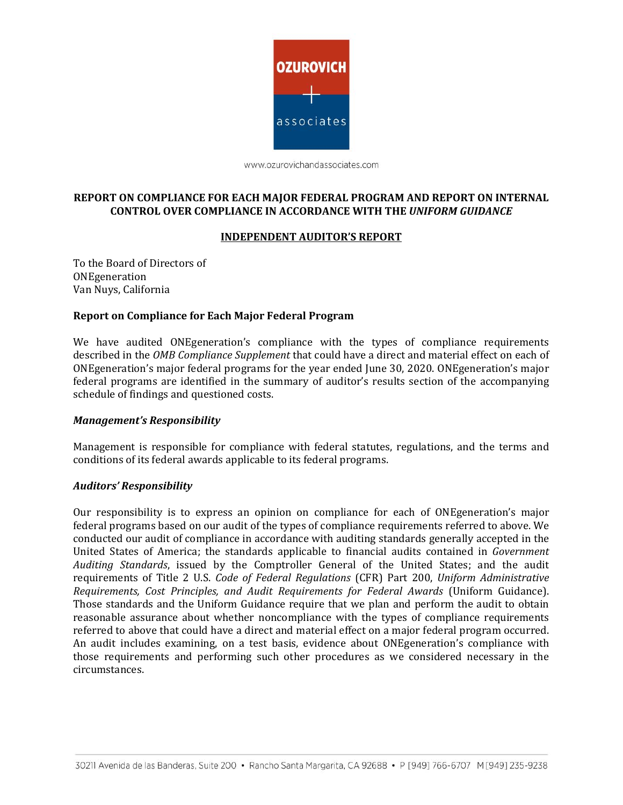

www.ozurovichandassociates.com

# **REPORT ON COMPLIANCE FOR EACH MAJOR FEDERAL PROGRAM AND REPORT ON INTERNAL CONTROL OVER COMPLIANCE IN ACCORDANCE WITH THE** *UNIFORM GUIDANCE*

#### **INDEPENDENT AUDITOR'S REPORT**

To the Board of Directors of ONEgeneration Van Nuys, California

## **Report on Compliance for Each Major Federal Program**

We have audited ONEgeneration's compliance with the types of compliance requirements described in the *OMB Compliance Supplement* that could have a direct and material effect on each of ONEgeneration's major federal programs for the year ended June 30, 2020. ONEgeneration's major federal programs are identified in the summary of auditor's results section of the accompanying schedule of findings and questioned costs.

#### *Management's Responsibility*

Management is responsible for compliance with federal statutes, regulations, and the terms and conditions of its federal awards applicable to its federal programs.

#### *Auditors' Responsibility*

Our responsibility is to express an opinion on compliance for each of ONEgeneration's major federal programs based on our audit of the types of compliance requirements referred to above. We conducted our audit of compliance in accordance with auditing standards generally accepted in the United States of America; the standards applicable to financial audits contained in *Government Auditing Standards*, issued by the Comptroller General of the United States; and the audit requirements of Title 2 U.S. *Code of Federal Regulations* (CFR) Part 200, *Uniform Administrative Requirements, Cost Principles, and Audit Requirements for Federal Awards* (Uniform Guidance). Those standards and the Uniform Guidance require that we plan and perform the audit to obtain reasonable assurance about whether noncompliance with the types of compliance requirements referred to above that could have a direct and material effect on a major federal program occurred. An audit includes examining, on a test basis, evidence about ONEgeneration's compliance with those requirements and performing such other procedures as we considered necessary in the circumstances.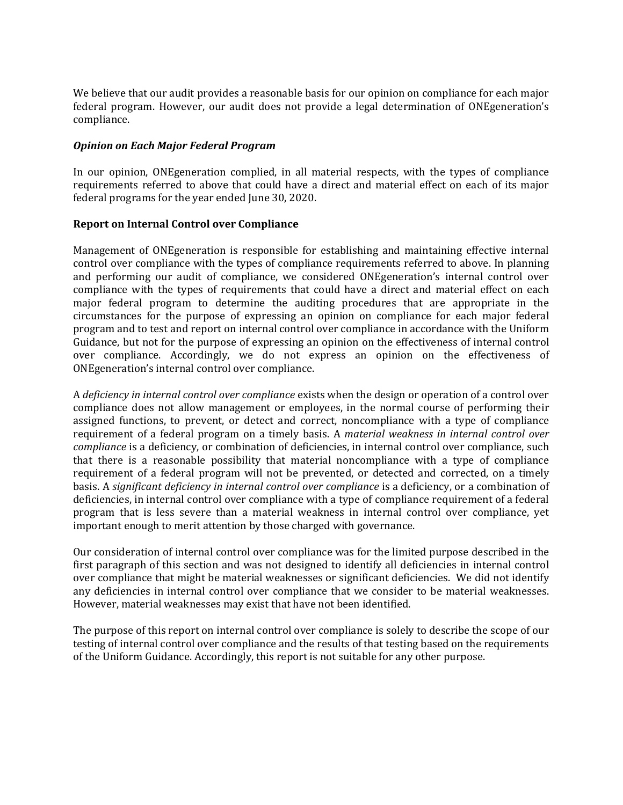We believe that our audit provides a reasonable basis for our opinion on compliance for each major federal program. However, our audit does not provide a legal determination of ONEgeneration's compliance.

## *Opinion on Each Major Federal Program*

In our opinion, ONEgeneration complied, in all material respects, with the types of compliance requirements referred to above that could have a direct and material effect on each of its major federal programs for the year ended June 30, 2020.

## **Report on Internal Control over Compliance**

Management of ONEgeneration is responsible for establishing and maintaining effective internal control over compliance with the types of compliance requirements referred to above. In planning and performing our audit of compliance, we considered ONEgeneration's internal control over compliance with the types of requirements that could have a direct and material effect on each major federal program to determine the auditing procedures that are appropriate in the circumstances for the purpose of expressing an opinion on compliance for each major federal program and to test and report on internal control over compliance in accordance with the Uniform Guidance, but not for the purpose of expressing an opinion on the effectiveness of internal control over compliance. Accordingly, we do not express an opinion on the effectiveness of ONEgeneration's internal control over compliance.

A *deficiency in internal control over compliance* exists when the design or operation of a control over compliance does not allow management or employees, in the normal course of performing their assigned functions, to prevent, or detect and correct, noncompliance with a type of compliance requirement of a federal program on a timely basis. A *material weakness in internal control over compliance* is a deficiency, or combination of deficiencies, in internal control over compliance, such that there is a reasonable possibility that material noncompliance with a type of compliance requirement of a federal program will not be prevented, or detected and corrected, on a timely basis. A *significant deficiency in internal control over compliance* is a deficiency, or a combination of deficiencies, in internal control over compliance with a type of compliance requirement of a federal program that is less severe than a material weakness in internal control over compliance, yet important enough to merit attention by those charged with governance.

Our consideration of internal control over compliance was for the limited purpose described in the first paragraph of this section and was not designed to identify all deficiencies in internal control over compliance that might be material weaknesses or significant deficiencies. We did not identify any deficiencies in internal control over compliance that we consider to be material weaknesses. However, material weaknesses may exist that have not been identified.

The purpose of this report on internal control over compliance is solely to describe the scope of our testing of internal control over compliance and the results of that testing based on the requirements of the Uniform Guidance. Accordingly, this report is not suitable for any other purpose.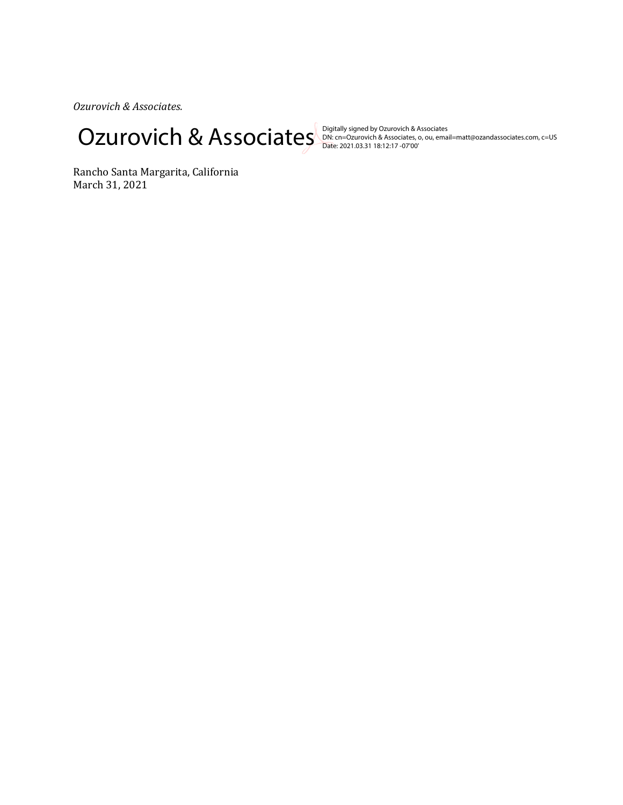*Ozurovich & Associates.*

# $O$ zurovich & Associates Digitally signed by Ozurovich & Associates Couplema

DN: cn=Ozurovich & Associates, o, ou, email=matt@ozandassociates.com, c=US Date: 2021.03.31 18:12:17 -07'00'

Rancho Santa Margarita, California March 31, 2021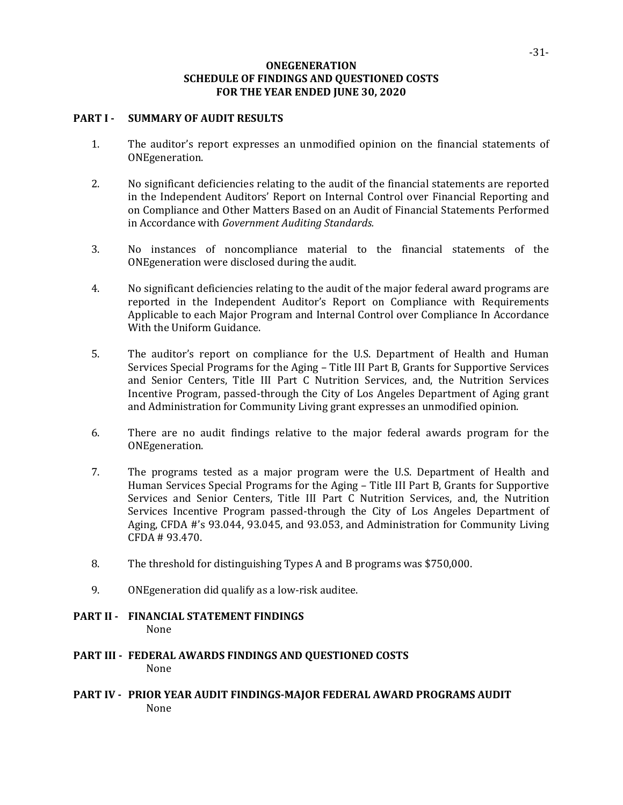#### **ONEGENERATION SCHEDULE OF FINDINGS AND QUESTIONED COSTS FOR THE YEAR ENDED JUNE 30, 2020**

#### **PART I ‐ SUMMARY OF AUDIT RESULTS**

- 1. The auditor's report expresses an unmodified opinion on the financial statements of ONEgeneration.
- 2. No significant deficiencies relating to the audit of the financial statements are reported in the Independent Auditors' Report on Internal Control over Financial Reporting and on Compliance and Other Matters Based on an Audit of Financial Statements Performed in Accordance with *Government Auditing Standards.*
- 3. No instances of noncompliance material to the financial statements of the ONEgeneration were disclosed during the audit.
- 4. No significant deficiencies relating to the audit of the major federal award programs are reported in the Independent Auditor's Report on Compliance with Requirements Applicable to each Major Program and Internal Control over Compliance In Accordance With the Uniform Guidance.
- 5. The auditor's report on compliance for the U.S. Department of Health and Human Services Special Programs for the Aging – Title III Part B, Grants for Supportive Services and Senior Centers, Title III Part C Nutrition Services, and, the Nutrition Services Incentive Program, passed-through the City of Los Angeles Department of Aging grant and Administration for Community Living grant expresses an unmodified opinion.
- 6. There are no audit findings relative to the major federal awards program for the ONEgeneration.
- 7. The programs tested as a major program were the U.S. Department of Health and Human Services Special Programs for the Aging – Title III Part B, Grants for Supportive Services and Senior Centers, Title III Part C Nutrition Services, and, the Nutrition Services Incentive Program passed-through the City of Los Angeles Department of Aging, CFDA #'s 93.044, 93.045, and 93.053, and Administration for Community Living CFDA # 93.470.
- 8. The threshold for distinguishing Types A and B programs was \$750,000.
- 9. ONEgeneration did qualify as a low-risk auditee.
- **PART II ‐ FINANCIAL STATEMENT FINDINGS** None

#### **PART III ‐ FEDERAL AWARDS FINDINGS AND QUESTIONED COSTS** None

**PART IV ‐ PRIOR YEAR AUDIT FINDINGS‐MAJOR FEDERAL AWARD PROGRAMS AUDIT** None